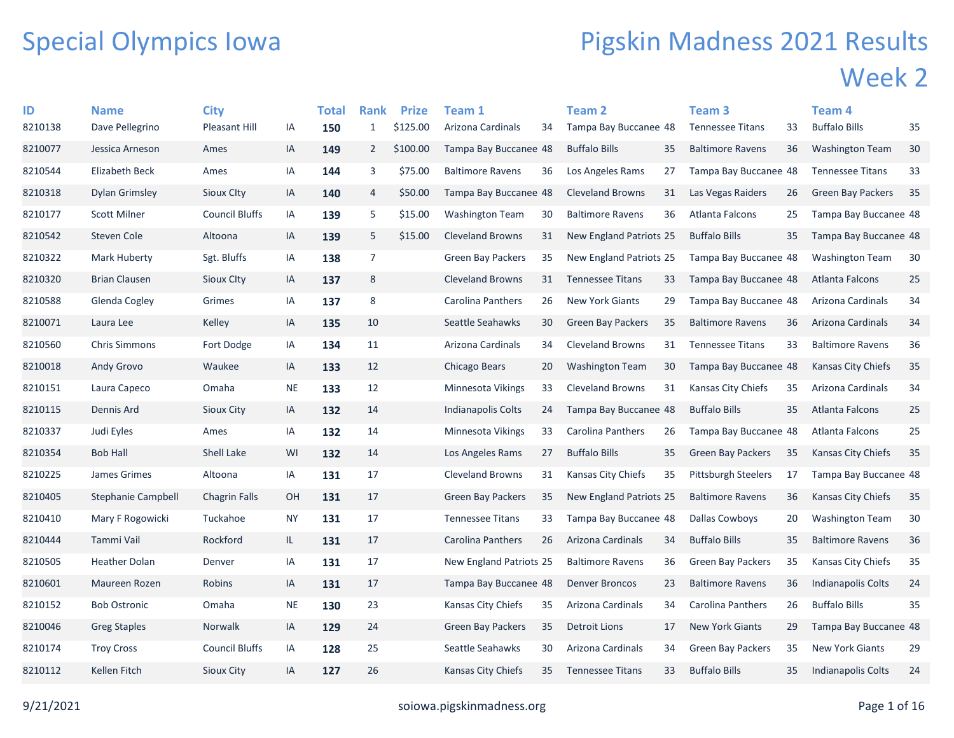## Special Olympics Iowa

## Pigskin Madness 2021 Results Week 2

| ID      | <b>Name</b>               | <b>City</b>           |           | Total | <b>Rank</b>    | <b>Prize</b> | <b>Team 1</b>            |    | Team 2                   |    | Team <sub>3</sub>          |    | Team 4                    |    |
|---------|---------------------------|-----------------------|-----------|-------|----------------|--------------|--------------------------|----|--------------------------|----|----------------------------|----|---------------------------|----|
| 8210138 | Dave Pellegrino           | <b>Pleasant Hill</b>  | IA        | 150   | $\mathbf{1}$   | \$125.00     | Arizona Cardinals        | 34 | Tampa Bay Buccanee 48    |    | <b>Tennessee Titans</b>    | 33 | <b>Buffalo Bills</b>      | 35 |
| 8210077 | Jessica Arneson           | Ames                  | IA        | 149   | $\overline{2}$ | \$100.00     | Tampa Bay Buccanee 48    |    | <b>Buffalo Bills</b>     | 35 | <b>Baltimore Ravens</b>    | 36 | <b>Washington Team</b>    | 30 |
| 8210544 | Elizabeth Beck            | Ames                  | IA        | 144   | 3              | \$75.00      | <b>Baltimore Ravens</b>  | 36 | Los Angeles Rams         | 27 | Tampa Bay Buccanee 48      |    | <b>Tennessee Titans</b>   | 33 |
| 8210318 | <b>Dylan Grimsley</b>     | Sioux Clty            | IA        | 140   | 4              | \$50.00      | Tampa Bay Buccanee 48    |    | <b>Cleveland Browns</b>  | 31 | Las Vegas Raiders          | 26 | <b>Green Bay Packers</b>  | 35 |
| 8210177 | <b>Scott Milner</b>       | <b>Council Bluffs</b> | IA        | 139   | 5              | \$15.00      | <b>Washington Team</b>   | 30 | <b>Baltimore Ravens</b>  | 36 | Atlanta Falcons            | 25 | Tampa Bay Buccanee 48     |    |
| 8210542 | Steven Cole               | Altoona               | IA        | 139   | 5              | \$15.00      | <b>Cleveland Browns</b>  | 31 | New England Patriots 25  |    | <b>Buffalo Bills</b>       | 35 | Tampa Bay Buccanee 48     |    |
| 8210322 | Mark Huberty              | Sgt. Bluffs           | IA        | 138   | $\overline{7}$ |              | Green Bay Packers        | 35 | New England Patriots 25  |    | Tampa Bay Buccanee 48      |    | <b>Washington Team</b>    | 30 |
| 8210320 | <b>Brian Clausen</b>      | Sioux City            | IA        | 137   | 8              |              | <b>Cleveland Browns</b>  | 31 | <b>Tennessee Titans</b>  | 33 | Tampa Bay Buccanee 48      |    | Atlanta Falcons           | 25 |
| 8210588 | Glenda Cogley             | Grimes                | IA        | 137   | 8              |              | <b>Carolina Panthers</b> | 26 | <b>New York Giants</b>   | 29 | Tampa Bay Buccanee 48      |    | Arizona Cardinals         | 34 |
| 8210071 | Laura Lee                 | Kelley                | IA        | 135   | 10             |              | Seattle Seahawks         | 30 | <b>Green Bay Packers</b> | 35 | <b>Baltimore Ravens</b>    | 36 | Arizona Cardinals         | 34 |
| 8210560 | <b>Chris Simmons</b>      | Fort Dodge            | IA        | 134   | 11             |              | Arizona Cardinals        | 34 | <b>Cleveland Browns</b>  | 31 | <b>Tennessee Titans</b>    | 33 | <b>Baltimore Ravens</b>   | 36 |
| 8210018 | Andy Grovo                | Waukee                | IA        | 133   | 12             |              | Chicago Bears            | 20 | <b>Washington Team</b>   | 30 | Tampa Bay Buccanee 48      |    | Kansas City Chiefs        | 35 |
| 8210151 | Laura Capeco              | Omaha                 | <b>NE</b> | 133   | 12             |              | Minnesota Vikings        | 33 | <b>Cleveland Browns</b>  | 31 | Kansas City Chiefs         | 35 | Arizona Cardinals         | 34 |
| 8210115 | Dennis Ard                | Sioux City            | IA        | 132   | 14             |              | Indianapolis Colts       | 24 | Tampa Bay Buccanee 48    |    | <b>Buffalo Bills</b>       | 35 | <b>Atlanta Falcons</b>    | 25 |
| 8210337 | Judi Eyles                | Ames                  | IA        | 132   | 14             |              | Minnesota Vikings        | 33 | Carolina Panthers        | 26 | Tampa Bay Buccanee 48      |    | Atlanta Falcons           | 25 |
| 8210354 | <b>Bob Hall</b>           | <b>Shell Lake</b>     | WI        | 132   | 14             |              | Los Angeles Rams         | 27 | <b>Buffalo Bills</b>     | 35 | <b>Green Bay Packers</b>   | 35 | Kansas City Chiefs        | 35 |
| 8210225 | James Grimes              | Altoona               | IA        | 131   | 17             |              | <b>Cleveland Browns</b>  | 31 | Kansas City Chiefs       | 35 | <b>Pittsburgh Steelers</b> | 17 | Tampa Bay Buccanee 48     |    |
| 8210405 | <b>Stephanie Campbell</b> | <b>Chagrin Falls</b>  | OH        | 131   | 17             |              | <b>Green Bay Packers</b> | 35 | New England Patriots 25  |    | <b>Baltimore Ravens</b>    | 36 | Kansas City Chiefs        | 35 |
| 8210410 | Mary F Rogowicki          | Tuckahoe              | <b>NY</b> | 131   | 17             |              | <b>Tennessee Titans</b>  | 33 | Tampa Bay Buccanee 48    |    | <b>Dallas Cowboys</b>      | 20 | <b>Washington Team</b>    | 30 |
| 8210444 | Tammi Vail                | Rockford              | IL.       | 131   | 17             |              | Carolina Panthers        | 26 | Arizona Cardinals        | 34 | <b>Buffalo Bills</b>       | 35 | <b>Baltimore Ravens</b>   | 36 |
| 8210505 | Heather Dolan             | Denver                | IA        | 131   | 17             |              | New England Patriots 25  |    | <b>Baltimore Ravens</b>  | 36 | <b>Green Bay Packers</b>   | 35 | Kansas City Chiefs        | 35 |
| 8210601 | Maureen Rozen             | Robins                | IA        | 131   | 17             |              | Tampa Bay Buccanee 48    |    | <b>Denver Broncos</b>    | 23 | <b>Baltimore Ravens</b>    | 36 | Indianapolis Colts        | 24 |
| 8210152 | <b>Bob Ostronic</b>       | Omaha                 | <b>NE</b> | 130   | 23             |              | Kansas City Chiefs       | 35 | Arizona Cardinals        | 34 | <b>Carolina Panthers</b>   | 26 | <b>Buffalo Bills</b>      | 35 |
| 8210046 | <b>Greg Staples</b>       | <b>Norwalk</b>        | IA        | 129   | 24             |              | <b>Green Bay Packers</b> | 35 | Detroit Lions            | 17 | <b>New York Giants</b>     | 29 | Tampa Bay Buccanee 48     |    |
| 8210174 | <b>Troy Cross</b>         | <b>Council Bluffs</b> | IA        | 128   | 25             |              | Seattle Seahawks         | 30 | Arizona Cardinals        | 34 | <b>Green Bay Packers</b>   | 35 | <b>New York Giants</b>    | 29 |
| 8210112 | Kellen Fitch              | Sioux City            | ΙA        | 127   | 26             |              | Kansas City Chiefs       | 35 | <b>Tennessee Titans</b>  | 33 | <b>Buffalo Bills</b>       | 35 | <b>Indianapolis Colts</b> | 24 |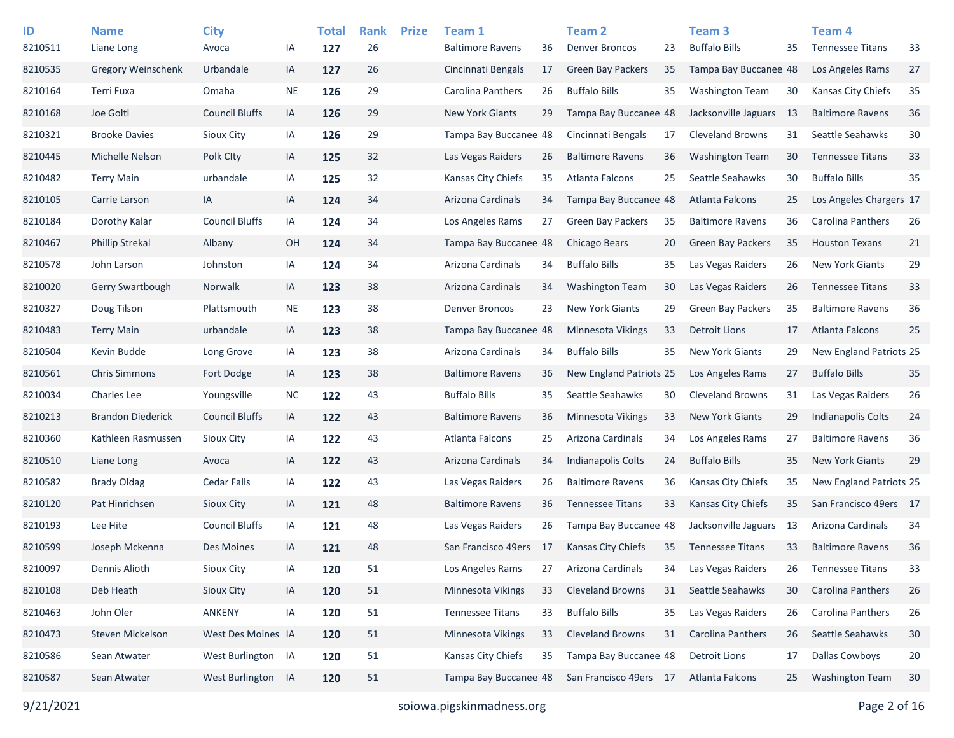| ID<br>8210511 | <b>Name</b><br>Liane Long | <b>City</b><br>Avoca  | IA        | <b>Total</b><br>127 | <b>Rank</b><br>26 | <b>Prize</b> | Team 1<br><b>Baltimore Ravens</b> | 36 | <b>Team 2</b><br><b>Denver Broncos</b> | 23 | Team <sub>3</sub><br><b>Buffalo Bills</b> | 35  | Team <sub>4</sub><br><b>Tennessee Titans</b> | 33 |
|---------------|---------------------------|-----------------------|-----------|---------------------|-------------------|--------------|-----------------------------------|----|----------------------------------------|----|-------------------------------------------|-----|----------------------------------------------|----|
| 8210535       | Gregory Weinschenk        | Urbandale             | IA        | 127                 | 26                |              | Cincinnati Bengals                | 17 | Green Bay Packers                      | 35 | Tampa Bay Buccanee 48                     |     | Los Angeles Rams                             | 27 |
| 8210164       | Terri Fuxa                | Omaha                 | <b>NE</b> | 126                 | 29                |              | Carolina Panthers                 | 26 | <b>Buffalo Bills</b>                   | 35 | <b>Washington Team</b>                    | 30  | Kansas City Chiefs                           | 35 |
| 8210168       | Joe Goltl                 | <b>Council Bluffs</b> | IA        | 126                 | 29                |              | <b>New York Giants</b>            | 29 | Tampa Bay Buccanee 48                  |    | Jacksonville Jaguars                      | -13 | <b>Baltimore Ravens</b>                      | 36 |
| 8210321       | <b>Brooke Davies</b>      | Sioux City            | IA        | 126                 | 29                |              | Tampa Bay Buccanee 48             |    | Cincinnati Bengals                     | 17 | <b>Cleveland Browns</b>                   | 31  | Seattle Seahawks                             | 30 |
| 8210445       | Michelle Nelson           | Polk City             | IA        | 125                 | 32                |              | Las Vegas Raiders                 | 26 | <b>Baltimore Ravens</b>                | 36 | <b>Washington Team</b>                    | 30  | <b>Tennessee Titans</b>                      | 33 |
| 8210482       | <b>Terry Main</b>         | urbandale             | IA        | 125                 | 32                |              | Kansas City Chiefs                | 35 | Atlanta Falcons                        | 25 | Seattle Seahawks                          | 30  | <b>Buffalo Bills</b>                         | 35 |
| 8210105       | Carrie Larson             | IA                    | IA        | 124                 | 34                |              | Arizona Cardinals                 | 34 | Tampa Bay Buccanee 48                  |    | Atlanta Falcons                           | 25  | Los Angeles Chargers 17                      |    |
| 8210184       | Dorothy Kalar             | <b>Council Bluffs</b> | IA        | 124                 | 34                |              | Los Angeles Rams                  | 27 | <b>Green Bay Packers</b>               | 35 | <b>Baltimore Ravens</b>                   | 36  | Carolina Panthers                            | 26 |
| 8210467       | <b>Phillip Strekal</b>    | Albany                | OH        | 124                 | 34                |              | Tampa Bay Buccanee 48             |    | Chicago Bears                          | 20 | <b>Green Bay Packers</b>                  | 35  | <b>Houston Texans</b>                        | 21 |
| 8210578       | John Larson               | Johnston              | IA        | 124                 | 34                |              | Arizona Cardinals                 | 34 | <b>Buffalo Bills</b>                   | 35 | Las Vegas Raiders                         | 26  | <b>New York Giants</b>                       | 29 |
| 8210020       | Gerry Swartbough          | Norwalk               | IA        | 123                 | 38                |              | Arizona Cardinals                 | 34 | <b>Washington Team</b>                 | 30 | Las Vegas Raiders                         | 26  | <b>Tennessee Titans</b>                      | 33 |
| 8210327       | Doug Tilson               | Plattsmouth           | <b>NE</b> | 123                 | 38                |              | <b>Denver Broncos</b>             | 23 | <b>New York Giants</b>                 | 29 | <b>Green Bay Packers</b>                  | 35  | <b>Baltimore Ravens</b>                      | 36 |
| 8210483       | <b>Terry Main</b>         | urbandale             | IA        | 123                 | 38                |              | Tampa Bay Buccanee 48             |    | Minnesota Vikings                      | 33 | <b>Detroit Lions</b>                      | 17  | <b>Atlanta Falcons</b>                       | 25 |
| 8210504       | Kevin Budde               | Long Grove            | IA        | 123                 | 38                |              | Arizona Cardinals                 | 34 | <b>Buffalo Bills</b>                   | 35 | <b>New York Giants</b>                    | 29  | New England Patriots 25                      |    |
| 8210561       | <b>Chris Simmons</b>      | Fort Dodge            | IA        | 123                 | 38                |              | <b>Baltimore Ravens</b>           | 36 | New England Patriots 25                |    | Los Angeles Rams                          | 27  | <b>Buffalo Bills</b>                         | 35 |
| 8210034       | Charles Lee               | Youngsville           | <b>NC</b> | 122                 | 43                |              | <b>Buffalo Bills</b>              | 35 | Seattle Seahawks                       | 30 | <b>Cleveland Browns</b>                   | 31  | Las Vegas Raiders                            | 26 |
| 8210213       | <b>Brandon Diederick</b>  | <b>Council Bluffs</b> | IA        | 122                 | 43                |              | <b>Baltimore Ravens</b>           | 36 | <b>Minnesota Vikings</b>               | 33 | <b>New York Giants</b>                    | 29  | <b>Indianapolis Colts</b>                    | 24 |
| 8210360       | Kathleen Rasmussen        | Sioux City            | IA        | 122                 | 43                |              | Atlanta Falcons                   | 25 | Arizona Cardinals                      | 34 | Los Angeles Rams                          | 27  | <b>Baltimore Ravens</b>                      | 36 |
| 8210510       | Liane Long                | Avoca                 | IA        | 122                 | 43                |              | Arizona Cardinals                 | 34 | <b>Indianapolis Colts</b>              | 24 | <b>Buffalo Bills</b>                      | 35  | <b>New York Giants</b>                       | 29 |
| 8210582       | <b>Brady Oldag</b>        | <b>Cedar Falls</b>    | IA        | 122                 | 43                |              | Las Vegas Raiders                 | 26 | <b>Baltimore Ravens</b>                | 36 | Kansas City Chiefs                        | 35  | New England Patriots 25                      |    |
| 8210120       | Pat Hinrichsen            | Sioux City            | IA        | 121                 | 48                |              | <b>Baltimore Ravens</b>           | 36 | <b>Tennessee Titans</b>                | 33 | <b>Kansas City Chiefs</b>                 | 35  | San Francisco 49ers 17                       |    |
| 8210193       | Lee Hite                  | <b>Council Bluffs</b> | IA        | 121                 | 48                |              | Las Vegas Raiders                 | 26 | Tampa Bay Buccanee 48                  |    | Jacksonville Jaguars                      | 13  | Arizona Cardinals                            | 34 |
| 8210599       | Joseph Mckenna            | Des Moines            | IA        | 121                 | 48                |              | San Francisco 49ers               | 17 | <b>Kansas City Chiefs</b>              | 35 | <b>Tennessee Titans</b>                   | 33  | <b>Baltimore Ravens</b>                      | 36 |
| 8210097       | Dennis Alioth             | Sioux City            | IA        | 120                 | 51                |              | Los Angeles Rams                  | 27 | Arizona Cardinals                      | 34 | Las Vegas Raiders                         | 26  | <b>Tennessee Titans</b>                      | 33 |
| 8210108       | Deb Heath                 | Sioux City            | IA        | 120                 | 51                |              | Minnesota Vikings                 | 33 | <b>Cleveland Browns</b>                | 31 | Seattle Seahawks                          | 30  | Carolina Panthers                            | 26 |
| 8210463       | John Oler                 | ANKENY                | IA        | 120                 | 51                |              | <b>Tennessee Titans</b>           | 33 | <b>Buffalo Bills</b>                   | 35 | Las Vegas Raiders                         | 26  | Carolina Panthers                            | 26 |
| 8210473       | Steven Mickelson          | West Des Moines IA    |           | 120                 | 51                |              | Minnesota Vikings                 | 33 | <b>Cleveland Browns</b>                | 31 | Carolina Panthers                         | 26  | Seattle Seahawks                             | 30 |
| 8210586       | Sean Atwater              | West Burlington IA    |           | 120                 | 51                |              | Kansas City Chiefs                | 35 | Tampa Bay Buccanee 48                  |    | <b>Detroit Lions</b>                      | 17  | <b>Dallas Cowboys</b>                        | 20 |
| 8210587       | Sean Atwater              | West Burlington IA    |           | 120                 | 51                |              | Tampa Bay Buccanee 48             |    | San Francisco 49ers 17                 |    | <b>Atlanta Falcons</b>                    | 25  | <b>Washington Team</b>                       | 30 |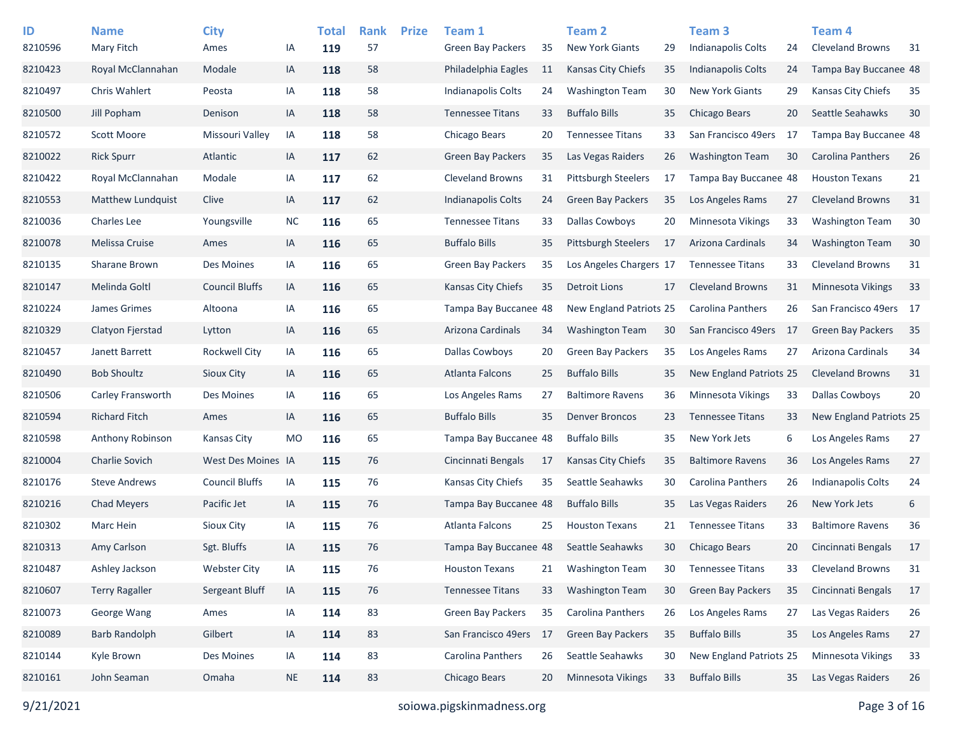| ID      | <b>Name</b>              | <b>City</b>           |           | <b>Total</b> | <b>Rank</b> | <b>Prize</b> | Team 1                    |    | <b>Team 2</b>              |    | <b>Team 3</b>            |     | Team 4                    |    |
|---------|--------------------------|-----------------------|-----------|--------------|-------------|--------------|---------------------------|----|----------------------------|----|--------------------------|-----|---------------------------|----|
| 8210596 | Mary Fitch               | Ames                  | ΙA        | 119          | 57          |              | Green Bay Packers         | 35 | <b>New York Giants</b>     | 29 | Indianapolis Colts       | 24  | <b>Cleveland Browns</b>   | 31 |
| 8210423 | Royal McClannahan        | Modale                | IA        | 118          | 58          |              | Philadelphia Eagles       | 11 | Kansas City Chiefs         | 35 | Indianapolis Colts       | 24  | Tampa Bay Buccanee 48     |    |
| 8210497 | Chris Wahlert            | Peosta                | IA        | 118          | 58          |              | <b>Indianapolis Colts</b> | 24 | <b>Washington Team</b>     | 30 | <b>New York Giants</b>   | 29  | Kansas City Chiefs        | 35 |
| 8210500 | Jill Popham              | Denison               | IA        | 118          | 58          |              | <b>Tennessee Titans</b>   | 33 | <b>Buffalo Bills</b>       | 35 | Chicago Bears            | 20  | Seattle Seahawks          | 30 |
| 8210572 | <b>Scott Moore</b>       | Missouri Valley       | IA        | 118          | 58          |              | Chicago Bears             | 20 | <b>Tennessee Titans</b>    | 33 | San Francisco 49ers      | -17 | Tampa Bay Buccanee 48     |    |
| 8210022 | <b>Rick Spurr</b>        | Atlantic              | IA        | 117          | 62          |              | Green Bay Packers         | 35 | Las Vegas Raiders          | 26 | <b>Washington Team</b>   | 30  | Carolina Panthers         | 26 |
| 8210422 | Royal McClannahan        | Modale                | IA        | 117          | 62          |              | <b>Cleveland Browns</b>   | 31 | <b>Pittsburgh Steelers</b> | 17 | Tampa Bay Buccanee 48    |     | <b>Houston Texans</b>     | 21 |
| 8210553 | <b>Matthew Lundquist</b> | Clive                 | IA        | 117          | 62          |              | Indianapolis Colts        | 24 | <b>Green Bay Packers</b>   | 35 | Los Angeles Rams         | 27  | <b>Cleveland Browns</b>   | 31 |
| 8210036 | <b>Charles Lee</b>       | Youngsville           | <b>NC</b> | 116          | 65          |              | <b>Tennessee Titans</b>   | 33 | <b>Dallas Cowboys</b>      | 20 | Minnesota Vikings        | 33  | <b>Washington Team</b>    | 30 |
| 8210078 | Melissa Cruise           | Ames                  | IA        | 116          | 65          |              | <b>Buffalo Bills</b>      | 35 | <b>Pittsburgh Steelers</b> | 17 | Arizona Cardinals        | 34  | <b>Washington Team</b>    | 30 |
| 8210135 | Sharane Brown            | Des Moines            | IA        | 116          | 65          |              | <b>Green Bay Packers</b>  | 35 | Los Angeles Chargers 17    |    | <b>Tennessee Titans</b>  | 33  | <b>Cleveland Browns</b>   | 31 |
| 8210147 | Melinda Goltl            | <b>Council Bluffs</b> | IA        | 116          | 65          |              | Kansas City Chiefs        | 35 | Detroit Lions              | 17 | <b>Cleveland Browns</b>  | 31  | <b>Minnesota Vikings</b>  | 33 |
| 8210224 | James Grimes             | Altoona               | ΙA        | 116          | 65          |              | Tampa Bay Buccanee 48     |    | New England Patriots 25    |    | Carolina Panthers        | 26  | San Francisco 49ers 17    |    |
| 8210329 | Clatyon Fierstad         | Lytton                | IA        | 116          | 65          |              | Arizona Cardinals         | 34 | <b>Washington Team</b>     | 30 | San Francisco 49ers      | 17  | <b>Green Bay Packers</b>  | 35 |
| 8210457 | Janett Barrett           | <b>Rockwell City</b>  | ΙA        | 116          | 65          |              | Dallas Cowboys            | 20 | <b>Green Bay Packers</b>   | 35 | Los Angeles Rams         | 27  | Arizona Cardinals         | 34 |
| 8210490 | <b>Bob Shoultz</b>       | Sioux City            | IA        | 116          | 65          |              | Atlanta Falcons           | 25 | <b>Buffalo Bills</b>       | 35 | New England Patriots 25  |     | <b>Cleveland Browns</b>   | 31 |
| 8210506 | Carley Fransworth        | Des Moines            | IA        | 116          | 65          |              | Los Angeles Rams          | 27 | <b>Baltimore Ravens</b>    | 36 | <b>Minnesota Vikings</b> | 33  | <b>Dallas Cowboys</b>     | 20 |
| 8210594 | <b>Richard Fitch</b>     | Ames                  | IA        | 116          | 65          |              | <b>Buffalo Bills</b>      | 35 | <b>Denver Broncos</b>      | 23 | <b>Tennessee Titans</b>  | 33  | New England Patriots 25   |    |
| 8210598 | Anthony Robinson         | Kansas City           | <b>MO</b> | 116          | 65          |              | Tampa Bay Buccanee 48     |    | <b>Buffalo Bills</b>       | 35 | New York Jets            | 6   | Los Angeles Rams          | 27 |
| 8210004 | <b>Charlie Sovich</b>    | West Des Moines IA    |           | 115          | 76          |              | Cincinnati Bengals        | 17 | Kansas City Chiefs         | 35 | <b>Baltimore Ravens</b>  | 36  | Los Angeles Rams          | 27 |
| 8210176 | <b>Steve Andrews</b>     | <b>Council Bluffs</b> | IA        | 115          | 76          |              | Kansas City Chiefs        | 35 | Seattle Seahawks           | 30 | Carolina Panthers        | 26  | <b>Indianapolis Colts</b> | 24 |
| 8210216 | Chad Meyers              | Pacific Jet           | IA        | 115          | 76          |              | Tampa Bay Buccanee 48     |    | <b>Buffalo Bills</b>       | 35 | Las Vegas Raiders        | 26  | New York Jets             | 6  |
| 8210302 | Marc Hein                | Sioux City            | ΙA        | 115          | 76          |              | Atlanta Falcons           | 25 | <b>Houston Texans</b>      | 21 | <b>Tennessee Titans</b>  | 33  | <b>Baltimore Ravens</b>   | 36 |
| 8210313 | Amy Carlson              | Sgt. Bluffs           | IA        | 115          | 76          |              | Tampa Bay Buccanee 48     |    | Seattle Seahawks           | 30 | Chicago Bears            | 20  | Cincinnati Bengals        | 17 |
| 8210487 | Ashley Jackson           | <b>Webster City</b>   | ΙA        | 115          | 76          |              | <b>Houston Texans</b>     | 21 | <b>Washington Team</b>     | 30 | <b>Tennessee Titans</b>  | 33  | <b>Cleveland Browns</b>   | 31 |
| 8210607 | <b>Terry Ragaller</b>    | Sergeant Bluff        | IA        | 115          | 76          |              | <b>Tennessee Titans</b>   | 33 | <b>Washington Team</b>     | 30 | <b>Green Bay Packers</b> | 35  | Cincinnati Bengals        | 17 |
| 8210073 | George Wang              | Ames                  | IA        | 114          | 83          |              | Green Bay Packers         | 35 | Carolina Panthers          | 26 | Los Angeles Rams         | 27  | Las Vegas Raiders         | 26 |
| 8210089 | <b>Barb Randolph</b>     | Gilbert               | IA        | 114          | 83          |              | San Francisco 49ers       | 17 | <b>Green Bay Packers</b>   | 35 | <b>Buffalo Bills</b>     | 35  | Los Angeles Rams          | 27 |
| 8210144 | Kyle Brown               | Des Moines            | IA        | 114          | 83          |              | Carolina Panthers         | 26 | Seattle Seahawks           | 30 | New England Patriots 25  |     | <b>Minnesota Vikings</b>  | 33 |
| 8210161 | John Seaman              | Omaha                 | <b>NE</b> | 114          | 83          |              | Chicago Bears             | 20 | Minnesota Vikings          | 33 | <b>Buffalo Bills</b>     | 35  | Las Vegas Raiders         | 26 |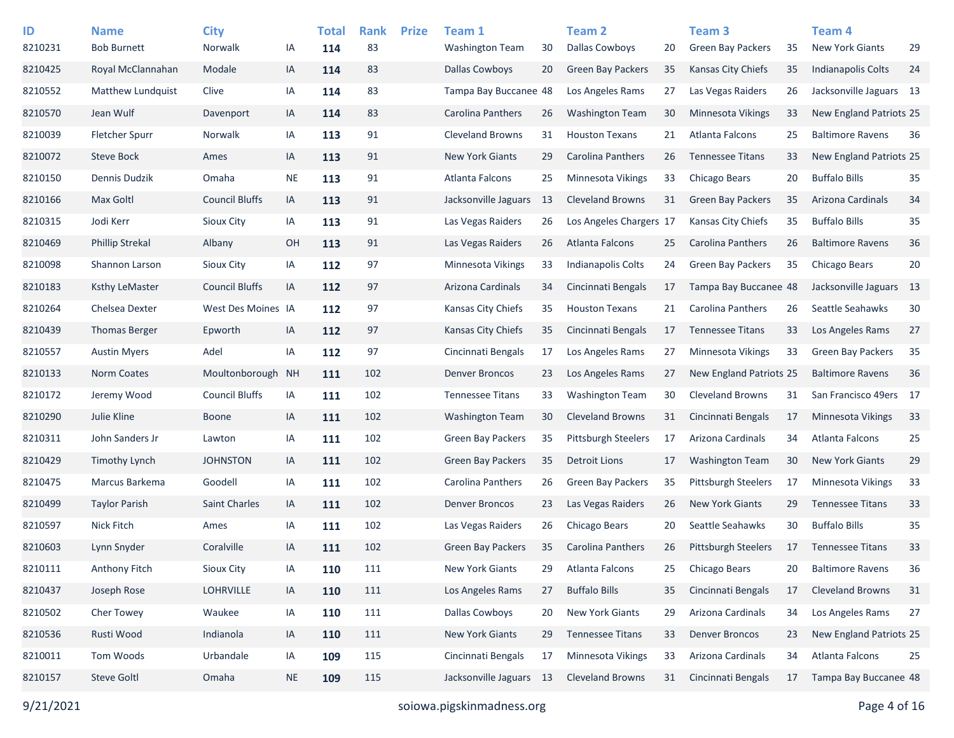| ID<br>8210231 | <b>Name</b><br><b>Bob Burnett</b> | <b>City</b><br>Norwalk | ΙA        | <b>Total</b><br>114 | <b>Rank</b><br>83 | <b>Prize</b> | Team 1<br><b>Washington Team</b> | 30 | Team <sub>2</sub><br><b>Dallas Cowboys</b> | 20 | Team <sub>3</sub><br><b>Green Bay Packers</b> | 35 | Team <sub>4</sub><br><b>New York Giants</b> | 29 |
|---------------|-----------------------------------|------------------------|-----------|---------------------|-------------------|--------------|----------------------------------|----|--------------------------------------------|----|-----------------------------------------------|----|---------------------------------------------|----|
| 8210425       | Royal McClannahan                 | Modale                 | IA        | 114                 | 83                |              | <b>Dallas Cowboys</b>            | 20 | <b>Green Bay Packers</b>                   | 35 | Kansas City Chiefs                            | 35 | <b>Indianapolis Colts</b>                   | 24 |
| 8210552       | Matthew Lundquist                 | Clive                  | IA        | 114                 | 83                |              | Tampa Bay Buccanee 48            |    | Los Angeles Rams                           | 27 | Las Vegas Raiders                             | 26 | Jacksonville Jaguars 13                     |    |
| 8210570       | Jean Wulf                         | Davenport              | IA        | 114                 | 83                |              | Carolina Panthers                | 26 | <b>Washington Team</b>                     | 30 | <b>Minnesota Vikings</b>                      | 33 | New England Patriots 25                     |    |
| 8210039       | <b>Fletcher Spurr</b>             | Norwalk                | IA        | 113                 | 91                |              | <b>Cleveland Browns</b>          | 31 | <b>Houston Texans</b>                      | 21 | Atlanta Falcons                               | 25 | <b>Baltimore Ravens</b>                     | 36 |
| 8210072       | <b>Steve Bock</b>                 | Ames                   | IA        | 113                 | 91                |              | <b>New York Giants</b>           | 29 | Carolina Panthers                          | 26 | <b>Tennessee Titans</b>                       | 33 | New England Patriots 25                     |    |
| 8210150       | Dennis Dudzik                     | Omaha                  | <b>NE</b> | 113                 | 91                |              | Atlanta Falcons                  | 25 | <b>Minnesota Vikings</b>                   | 33 | Chicago Bears                                 | 20 | <b>Buffalo Bills</b>                        | 35 |
| 8210166       | Max Goltl                         | <b>Council Bluffs</b>  | IA        | 113                 | 91                |              | Jacksonville Jaguars             | 13 | <b>Cleveland Browns</b>                    | 31 | <b>Green Bay Packers</b>                      | 35 | Arizona Cardinals                           | 34 |
| 8210315       | Jodi Kerr                         | Sioux City             | IA        | 113                 | 91                |              | Las Vegas Raiders                | 26 | Los Angeles Chargers 17                    |    | Kansas City Chiefs                            | 35 | <b>Buffalo Bills</b>                        | 35 |
| 8210469       | <b>Phillip Strekal</b>            | Albany                 | OH        | 113                 | 91                |              | Las Vegas Raiders                | 26 | Atlanta Falcons                            | 25 | <b>Carolina Panthers</b>                      | 26 | <b>Baltimore Ravens</b>                     | 36 |
| 8210098       | Shannon Larson                    | <b>Sioux City</b>      | IA        | 112                 | 97                |              | Minnesota Vikings                | 33 | <b>Indianapolis Colts</b>                  | 24 | <b>Green Bay Packers</b>                      | 35 | Chicago Bears                               | 20 |
| 8210183       | <b>Ksthy LeMaster</b>             | <b>Council Bluffs</b>  | IA        | 112                 | 97                |              | Arizona Cardinals                | 34 | Cincinnati Bengals                         | 17 | Tampa Bay Buccanee 48                         |    | Jacksonville Jaguars 13                     |    |
| 8210264       | Chelsea Dexter                    | West Des Moines IA     |           | 112                 | 97                |              | Kansas City Chiefs               | 35 | <b>Houston Texans</b>                      | 21 | Carolina Panthers                             | 26 | Seattle Seahawks                            | 30 |
| 8210439       | <b>Thomas Berger</b>              | Epworth                | IA        | 112                 | 97                |              | <b>Kansas City Chiefs</b>        | 35 | Cincinnati Bengals                         | 17 | <b>Tennessee Titans</b>                       | 33 | Los Angeles Rams                            | 27 |
| 8210557       | <b>Austin Myers</b>               | Adel                   | IA        | 112                 | 97                |              | Cincinnati Bengals               | 17 | Los Angeles Rams                           | 27 | Minnesota Vikings                             | 33 | <b>Green Bay Packers</b>                    | 35 |
| 8210133       | Norm Coates                       | Moultonborough         | <b>NH</b> | 111                 | 102               |              | <b>Denver Broncos</b>            | 23 | Los Angeles Rams                           | 27 | New England Patriots 25                       |    | <b>Baltimore Ravens</b>                     | 36 |
| 8210172       | Jeremy Wood                       | <b>Council Bluffs</b>  | IA        | 111                 | 102               |              | <b>Tennessee Titans</b>          | 33 | <b>Washington Team</b>                     | 30 | <b>Cleveland Browns</b>                       | 31 | San Francisco 49ers 17                      |    |
| 8210290       | Julie Kline                       | <b>Boone</b>           | IA        | 111                 | 102               |              | <b>Washington Team</b>           | 30 | <b>Cleveland Browns</b>                    | 31 | Cincinnati Bengals                            | 17 | <b>Minnesota Vikings</b>                    | 33 |
| 8210311       | John Sanders Jr                   | Lawton                 | IA        | 111                 | 102               |              | <b>Green Bay Packers</b>         | 35 | <b>Pittsburgh Steelers</b>                 | 17 | Arizona Cardinals                             | 34 | Atlanta Falcons                             | 25 |
| 8210429       | Timothy Lynch                     | <b>JOHNSTON</b>        | IA        | 111                 | 102               |              | <b>Green Bay Packers</b>         | 35 | Detroit Lions                              | 17 | <b>Washington Team</b>                        | 30 | <b>New York Giants</b>                      | 29 |
| 8210475       | Marcus Barkema                    | Goodell                | IA        | 111                 | 102               |              | Carolina Panthers                | 26 | Green Bay Packers                          | 35 | <b>Pittsburgh Steelers</b>                    | 17 | Minnesota Vikings                           | 33 |
| 8210499       | <b>Taylor Parish</b>              | <b>Saint Charles</b>   | IA        | 111                 | 102               |              | <b>Denver Broncos</b>            | 23 | Las Vegas Raiders                          | 26 | <b>New York Giants</b>                        | 29 | <b>Tennessee Titans</b>                     | 33 |
| 8210597       | <b>Nick Fitch</b>                 | Ames                   | IA        | 111                 | 102               |              | Las Vegas Raiders                | 26 | Chicago Bears                              | 20 | Seattle Seahawks                              | 30 | <b>Buffalo Bills</b>                        | 35 |
| 8210603       | Lynn Snyder                       | Coralville             | IA        | 111                 | 102               |              | Green Bay Packers                | 35 | <b>Carolina Panthers</b>                   | 26 | Pittsburgh Steelers                           | 17 | <b>Tennessee Titans</b>                     | 33 |
| 8210111       | Anthony Fitch                     | Sioux City             | IA        | 110                 | 111               |              | New York Giants                  | 29 | Atlanta Falcons                            | 25 | Chicago Bears                                 | 20 | <b>Baltimore Ravens</b>                     | 36 |
| 8210437       | Joseph Rose                       | LOHRVILLE              | IA        | 110                 | 111               |              | Los Angeles Rams                 | 27 | <b>Buffalo Bills</b>                       | 35 | Cincinnati Bengals                            | 17 | <b>Cleveland Browns</b>                     | 31 |
| 8210502       | Cher Towey                        | Waukee                 | IA        | 110                 | 111               |              | Dallas Cowboys                   | 20 | <b>New York Giants</b>                     | 29 | Arizona Cardinals                             | 34 | Los Angeles Rams                            | 27 |
| 8210536       | Rusti Wood                        | Indianola              | IA        | 110                 | 111               |              | New York Giants                  | 29 | <b>Tennessee Titans</b>                    | 33 | <b>Denver Broncos</b>                         | 23 | New England Patriots 25                     |    |
| 8210011       | Tom Woods                         | Urbandale              | IA        | 109                 | 115               |              | Cincinnati Bengals               | 17 | Minnesota Vikings                          | 33 | Arizona Cardinals                             | 34 | Atlanta Falcons                             | 25 |
| 8210157       | <b>Steve Goltl</b>                | Omaha                  | <b>NE</b> | 109                 | 115               |              | Jacksonville Jaguars 13          |    | <b>Cleveland Browns</b>                    | 31 | Cincinnati Bengals                            | 17 | Tampa Bay Buccanee 48                       |    |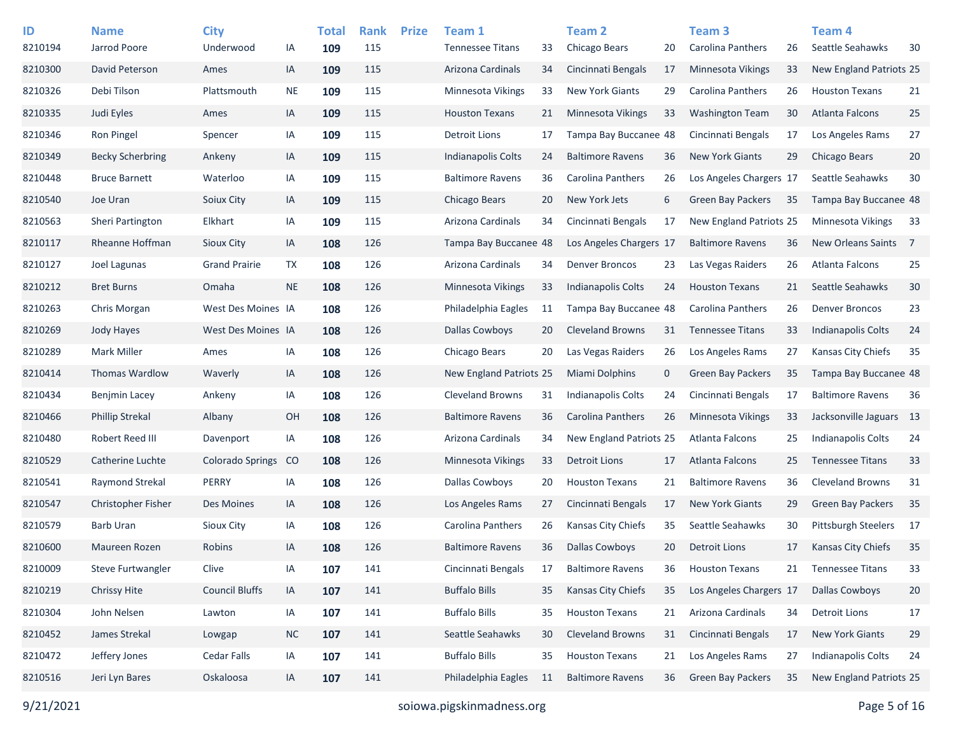| ID      | <b>Name</b>             | <b>City</b>           |               | <b>Total</b> | <b>Rank</b> | <b>Prize</b> | Team 1                   |    | Team 2                    |    | Team <sub>3</sub>        |    | <b>Team 4</b>              |                |
|---------|-------------------------|-----------------------|---------------|--------------|-------------|--------------|--------------------------|----|---------------------------|----|--------------------------|----|----------------------------|----------------|
| 8210194 | Jarrod Poore            | Underwood             | ΙA            | 109          | 115         |              | <b>Tennessee Titans</b>  | 33 | Chicago Bears             | 20 | <b>Carolina Panthers</b> | 26 | Seattle Seahawks           | 30             |
| 8210300 | David Peterson          | Ames                  | IA            | 109          | 115         |              | Arizona Cardinals        | 34 | Cincinnati Bengals        | 17 | Minnesota Vikings        | 33 | New England Patriots 25    |                |
| 8210326 | Debi Tilson             | Plattsmouth           | NE            | 109          | 115         |              | <b>Minnesota Vikings</b> | 33 | <b>New York Giants</b>    | 29 | <b>Carolina Panthers</b> | 26 | <b>Houston Texans</b>      | 21             |
| 8210335 | Judi Eyles              | Ames                  | IA            | 109          | 115         |              | <b>Houston Texans</b>    | 21 | Minnesota Vikings         | 33 | <b>Washington Team</b>   | 30 | Atlanta Falcons            | 25             |
| 8210346 | Ron Pingel              | Spencer               | IA            | 109          | 115         |              | <b>Detroit Lions</b>     | 17 | Tampa Bay Buccanee 48     |    | Cincinnati Bengals       | 17 | Los Angeles Rams           | 27             |
| 8210349 | <b>Becky Scherbring</b> | Ankeny                | IA            | 109          | 115         |              | Indianapolis Colts       | 24 | <b>Baltimore Ravens</b>   | 36 | <b>New York Giants</b>   | 29 | <b>Chicago Bears</b>       | 20             |
| 8210448 | <b>Bruce Barnett</b>    | Waterloo              | IA            | 109          | 115         |              | <b>Baltimore Ravens</b>  | 36 | Carolina Panthers         | 26 | Los Angeles Chargers 17  |    | Seattle Seahawks           | 30             |
| 8210540 | Joe Uran                | Soiux City            | IA            | 109          | 115         |              | Chicago Bears            | 20 | New York Jets             | 6  | <b>Green Bay Packers</b> | 35 | Tampa Bay Buccanee 48      |                |
| 8210563 | Sheri Partington        | Elkhart               | IA            | 109          | 115         |              | Arizona Cardinals        | 34 | Cincinnati Bengals        | 17 | New England Patriots 25  |    | <b>Minnesota Vikings</b>   | 33             |
| 8210117 | Rheanne Hoffman         | Sioux City            | IA            | 108          | 126         |              | Tampa Bay Buccanee 48    |    | Los Angeles Chargers 17   |    | <b>Baltimore Ravens</b>  | 36 | New Orleans Saints         | $\overline{7}$ |
| 8210127 | Joel Lagunas            | <b>Grand Prairie</b>  | TX            | 108          | 126         |              | Arizona Cardinals        | 34 | Denver Broncos            | 23 | Las Vegas Raiders        | 26 | Atlanta Falcons            | 25             |
| 8210212 | <b>Bret Burns</b>       | Omaha                 | <b>NE</b>     | 108          | 126         |              | <b>Minnesota Vikings</b> | 33 | <b>Indianapolis Colts</b> | 24 | <b>Houston Texans</b>    | 21 | Seattle Seahawks           | 30             |
| 8210263 | Chris Morgan            | West Des Moines IA    |               | 108          | 126         |              | Philadelphia Eagles      | 11 | Tampa Bay Buccanee 48     |    | <b>Carolina Panthers</b> | 26 | <b>Denver Broncos</b>      | 23             |
| 8210269 | Jody Hayes              | West Des Moines IA    |               | 108          | 126         |              | <b>Dallas Cowboys</b>    | 20 | <b>Cleveland Browns</b>   | 31 | <b>Tennessee Titans</b>  | 33 | <b>Indianapolis Colts</b>  | 24             |
| 8210289 | <b>Mark Miller</b>      | Ames                  | IA            | 108          | 126         |              | Chicago Bears            | 20 | Las Vegas Raiders         | 26 | Los Angeles Rams         | 27 | Kansas City Chiefs         | 35             |
| 8210414 | <b>Thomas Wardlow</b>   | Waverly               | IA            | 108          | 126         |              | New England Patriots 25  |    | <b>Miami Dolphins</b>     | 0  | <b>Green Bay Packers</b> | 35 | Tampa Bay Buccanee 48      |                |
| 8210434 | Benjmin Lacey           | Ankeny                | IA            | 108          | 126         |              | <b>Cleveland Browns</b>  | 31 | <b>Indianapolis Colts</b> | 24 | Cincinnati Bengals       | 17 | <b>Baltimore Ravens</b>    | 36             |
| 8210466 | <b>Phillip Strekal</b>  | Albany                | OH            | 108          | 126         |              | <b>Baltimore Ravens</b>  | 36 | Carolina Panthers         | 26 | Minnesota Vikings        | 33 | Jacksonville Jaguars 13    |                |
| 8210480 | Robert Reed III         | Davenport             | IA            | 108          | 126         |              | Arizona Cardinals        | 34 | New England Patriots 25   |    | Atlanta Falcons          | 25 | <b>Indianapolis Colts</b>  | 24             |
| 8210529 | Catherine Luchte        | Colorado Springs      | <sub>co</sub> | 108          | 126         |              | Minnesota Vikings        | 33 | Detroit Lions             | 17 | <b>Atlanta Falcons</b>   | 25 | <b>Tennessee Titans</b>    | 33             |
| 8210541 | Raymond Strekal         | <b>PERRY</b>          | IA            | 108          | 126         |              | <b>Dallas Cowboys</b>    | 20 | <b>Houston Texans</b>     | 21 | <b>Baltimore Ravens</b>  | 36 | <b>Cleveland Browns</b>    | 31             |
| 8210547 | Christopher Fisher      | <b>Des Moines</b>     | IA            | 108          | 126         |              | Los Angeles Rams         | 27 | Cincinnati Bengals        | 17 | <b>New York Giants</b>   | 29 | <b>Green Bay Packers</b>   | 35             |
| 8210579 | <b>Barb Uran</b>        | Sioux City            | IA            | 108          | 126         |              | Carolina Panthers        | 26 | Kansas City Chiefs        | 35 | Seattle Seahawks         | 30 | <b>Pittsburgh Steelers</b> | - 17           |
| 8210600 | Maureen Rozen           | Robins                | IA            | 108          | 126         |              | <b>Baltimore Ravens</b>  | 36 | <b>Dallas Cowboys</b>     | 20 | <b>Detroit Lions</b>     | 17 | <b>Kansas City Chiefs</b>  | 35             |
| 8210009 | Steve Furtwangler       | Clive                 | IA            | 107          | 141         |              | Cincinnati Bengals       | 17 | <b>Baltimore Ravens</b>   | 36 | <b>Houston Texans</b>    | 21 | <b>Tennessee Titans</b>    | 33             |
| 8210219 | Chrissy Hite            | <b>Council Bluffs</b> | IA            | 107          | 141         |              | <b>Buffalo Bills</b>     | 35 | Kansas City Chiefs        | 35 | Los Angeles Chargers 17  |    | <b>Dallas Cowboys</b>      | 20             |
| 8210304 | John Nelsen             | Lawton                | IA            | 107          | 141         |              | <b>Buffalo Bills</b>     | 35 | <b>Houston Texans</b>     | 21 | Arizona Cardinals        | 34 | <b>Detroit Lions</b>       | 17             |
| 8210452 | James Strekal           | Lowgap                | <b>NC</b>     | 107          | 141         |              | Seattle Seahawks         | 30 | <b>Cleveland Browns</b>   | 31 | Cincinnati Bengals       | 17 | <b>New York Giants</b>     | 29             |
| 8210472 | Jeffery Jones           | Cedar Falls           | IA            | 107          | 141         |              | <b>Buffalo Bills</b>     | 35 | <b>Houston Texans</b>     | 21 | Los Angeles Rams         | 27 | Indianapolis Colts         | 24             |
| 8210516 | Jeri Lyn Bares          | Oskaloosa             | IA            | 107          | 141         |              | Philadelphia Eagles      | 11 | <b>Baltimore Ravens</b>   | 36 | <b>Green Bay Packers</b> | 35 | New England Patriots 25    |                |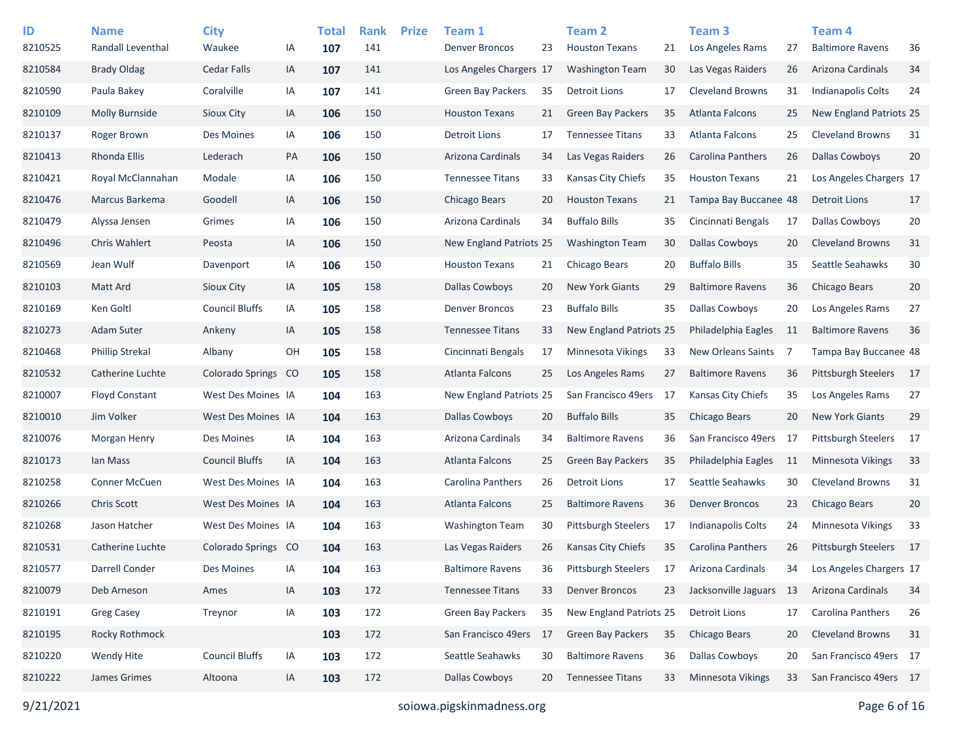| ID<br>8210525 | <b>Name</b><br>Randall Leventhal | <b>City</b><br>Waukee | IA | <b>Total</b><br>107 | <b>Rank</b><br>141 | <b>Prize</b> | Team 1<br><b>Denver Broncos</b> | 23 | Team 2<br><b>Houston Texans</b> | 21 | Team <sub>3</sub><br>Los Angeles Rams | 27  | Team <sub>4</sub><br><b>Baltimore Ravens</b> | 36   |
|---------------|----------------------------------|-----------------------|----|---------------------|--------------------|--------------|---------------------------------|----|---------------------------------|----|---------------------------------------|-----|----------------------------------------------|------|
| 8210584       | <b>Brady Oldag</b>               | Cedar Falls           | IA | 107                 | 141                |              | Los Angeles Chargers 17         |    | <b>Washington Team</b>          | 30 | Las Vegas Raiders                     | 26  | Arizona Cardinals                            | 34   |
| 8210590       | Paula Bakey                      | Coralville            | IA | 107                 | 141                |              | <b>Green Bay Packers</b>        | 35 | Detroit Lions                   | 17 | <b>Cleveland Browns</b>               | 31  | <b>Indianapolis Colts</b>                    | 24   |
| 8210109       | Molly Burnside                   | Sioux City            | IA | 106                 | 150                |              | <b>Houston Texans</b>           | 21 | <b>Green Bay Packers</b>        | 35 | Atlanta Falcons                       | 25  | New England Patriots 25                      |      |
| 8210137       | Roger Brown                      | Des Moines            | IA | 106                 | 150                |              | <b>Detroit Lions</b>            | 17 | <b>Tennessee Titans</b>         | 33 | Atlanta Falcons                       | 25  | <b>Cleveland Browns</b>                      | 31   |
| 8210413       | Rhonda Ellis                     | Lederach              | PA | 106                 | 150                |              | Arizona Cardinals               | 34 | Las Vegas Raiders               | 26 | Carolina Panthers                     | 26  | <b>Dallas Cowboys</b>                        | 20   |
| 8210421       | Royal McClannahan                | Modale                | IA | 106                 | 150                |              | <b>Tennessee Titans</b>         | 33 | Kansas City Chiefs              | 35 | <b>Houston Texans</b>                 | 21  | Los Angeles Chargers 17                      |      |
| 8210476       | Marcus Barkema                   | Goodell               | IA | 106                 | 150                |              | Chicago Bears                   | 20 | <b>Houston Texans</b>           | 21 | Tampa Bay Buccanee 48                 |     | <b>Detroit Lions</b>                         | 17   |
| 8210479       | Alyssa Jensen                    | Grimes                | IA | 106                 | 150                |              | Arizona Cardinals               | 34 | <b>Buffalo Bills</b>            | 35 | Cincinnati Bengals                    | 17  | <b>Dallas Cowboys</b>                        | 20   |
| 8210496       | Chris Wahlert                    | Peosta                | IA | 106                 | 150                |              | New England Patriots 25         |    | <b>Washington Team</b>          | 30 | <b>Dallas Cowboys</b>                 | 20  | <b>Cleveland Browns</b>                      | 31   |
| 8210569       | Jean Wulf                        | Davenport             | IA | 106                 | 150                |              | <b>Houston Texans</b>           | 21 | Chicago Bears                   | 20 | <b>Buffalo Bills</b>                  | 35  | Seattle Seahawks                             | 30   |
| 8210103       | Matt Ard                         | Sioux City            | IA | 105                 | 158                |              | <b>Dallas Cowboys</b>           | 20 | <b>New York Giants</b>          | 29 | <b>Baltimore Ravens</b>               | 36  | <b>Chicago Bears</b>                         | 20   |
| 8210169       | Ken Goltl                        | <b>Council Bluffs</b> | IA | 105                 | 158                |              | <b>Denver Broncos</b>           | 23 | <b>Buffalo Bills</b>            | 35 | <b>Dallas Cowboys</b>                 | 20  | Los Angeles Rams                             | 27   |
| 8210273       | <b>Adam Suter</b>                | Ankeny                | IA | 105                 | 158                |              | <b>Tennessee Titans</b>         | 33 | <b>New England Patriots 25</b>  |    | Philadelphia Eagles                   | 11  | <b>Baltimore Ravens</b>                      | 36   |
| 8210468       | <b>Phillip Strekal</b>           | Albany                | OH | 105                 | 158                |              | Cincinnati Bengals              | 17 | Minnesota Vikings               | 33 | <b>New Orleans Saints</b>             | -7  | Tampa Bay Buccanee 48                        |      |
| 8210532       | Catherine Luchte                 | Colorado Springs      | CO | 105                 | 158                |              | Atlanta Falcons                 | 25 | Los Angeles Rams                | 27 | <b>Baltimore Ravens</b>               | 36  | <b>Pittsburgh Steelers</b>                   | - 17 |
| 8210007       | <b>Floyd Constant</b>            | West Des Moines IA    |    | 104                 | 163                |              | <b>New England Patriots 25</b>  |    | San Francisco 49ers             | 17 | Kansas City Chiefs                    | 35  | Los Angeles Rams                             | 27   |
| 8210010       | Jim Volker                       | West Des Moines IA    |    | 104                 | 163                |              | <b>Dallas Cowboys</b>           | 20 | <b>Buffalo Bills</b>            | 35 | Chicago Bears                         | 20  | <b>New York Giants</b>                       | 29   |
| 8210076       | Morgan Henry                     | Des Moines            | IA | 104                 | 163                |              | Arizona Cardinals               | 34 | <b>Baltimore Ravens</b>         | 36 | San Francisco 49ers                   | -17 | <b>Pittsburgh Steelers</b>                   | 17   |
| 8210173       | lan Mass                         | <b>Council Bluffs</b> | IA |                     | 163                |              | Atlanta Falcons                 | 25 | Green Bay Packers               | 35 | Philadelphia Eagles                   | -11 | <b>Minnesota Vikings</b>                     | 33   |
| 8210258       | <b>Conner McCuen</b>             | West Des Moines IA    |    | 104                 | 163                |              | Carolina Panthers               | 26 | Detroit Lions                   | 17 | Seattle Seahawks                      | 30  | <b>Cleveland Browns</b>                      | 31   |
|               | Chris Scott                      |                       |    | 104                 | 163                |              | Atlanta Falcons                 |    | <b>Baltimore Ravens</b>         |    | <b>Denver Broncos</b>                 |     | <b>Chicago Bears</b>                         |      |
| 8210266       |                                  | West Des Moines IA    |    | 104                 |                    |              |                                 | 25 |                                 | 36 |                                       | 23  |                                              | 20   |
| 8210268       | Jason Hatcher                    | West Des Moines IA    |    | 104                 | 163                |              | <b>Washington Team</b>          | 30 | <b>Pittsburgh Steelers</b>      | 17 | Indianapolis Colts                    | 24  | Minnesota Vikings                            | 33   |
| 8210531       | Catherine Luchte                 | Colorado Springs CO   |    | 104                 | 163                |              | Las Vegas Raiders               | 26 | <b>Kansas City Chiefs</b>       | 35 | <b>Carolina Panthers</b>              | 26  | <b>Pittsburgh Steelers</b>                   | - 17 |
| 8210577       | Darrell Conder                   | Des Moines            | IA | 104                 | 163                |              | <b>Baltimore Ravens</b>         | 36 | <b>Pittsburgh Steelers</b>      | 17 | Arizona Cardinals                     | 34  | Los Angeles Chargers 17                      |      |
| 8210079       | Deb Arneson                      | Ames                  | IA | 103                 | 172                |              | <b>Tennessee Titans</b>         | 33 | <b>Denver Broncos</b>           | 23 | Jacksonville Jaguars 13               |     | Arizona Cardinals                            | 34   |
| 8210191       | <b>Greg Casey</b>                | Treynor               | IA | 103                 | 172                |              | Green Bay Packers               | 35 | New England Patriots 25         |    | <b>Detroit Lions</b>                  | 17  | Carolina Panthers                            | 26   |
| 8210195       | Rocky Rothmock                   |                       |    | 103                 | 172                |              | San Francisco 49ers             | 17 | <b>Green Bay Packers</b>        | 35 | Chicago Bears                         | 20  | <b>Cleveland Browns</b>                      | 31   |
| 8210220       | Wendy Hite                       | <b>Council Bluffs</b> | IA | 103                 | 172                |              | Seattle Seahawks                | 30 | <b>Baltimore Ravens</b>         | 36 | <b>Dallas Cowboys</b>                 | 20  | San Francisco 49ers 17                       |      |
| 8210222       | James Grimes                     | Altoona               | IA | 103                 | 172                |              | <b>Dallas Cowboys</b>           | 20 | <b>Tennessee Titans</b>         | 33 | Minnesota Vikings                     | 33  | San Francisco 49ers 17                       |      |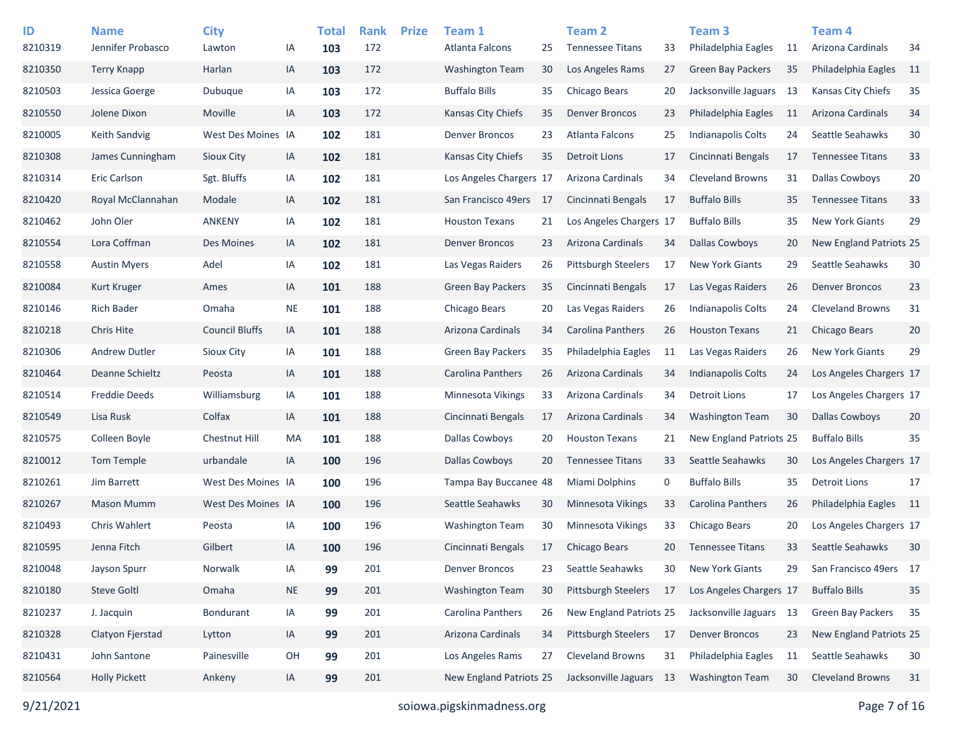| ID<br>8210319 | <b>Name</b><br>Jennifer Probasco | <b>City</b><br>Lawton | ΙA        | <b>Total</b><br>103 | <b>Rank</b><br>172 | <b>Prize</b> | Team 1<br>Atlanta Falcons | 25  | <b>Team 2</b><br><b>Tennessee Titans</b> | 33 | Team <sub>3</sub><br>Philadelphia Eagles | 11  | Team 4<br>Arizona Cardinals | 34              |
|---------------|----------------------------------|-----------------------|-----------|---------------------|--------------------|--------------|---------------------------|-----|------------------------------------------|----|------------------------------------------|-----|-----------------------------|-----------------|
| 8210350       | <b>Terry Knapp</b>               | Harlan                | IA        | 103                 | 172                |              | <b>Washington Team</b>    | 30  | Los Angeles Rams                         | 27 | <b>Green Bay Packers</b>                 | 35  | Philadelphia Eagles         | 11              |
| 8210503       | Jessica Goerge                   | Dubuque               | IA        | 103                 | 172                |              | <b>Buffalo Bills</b>      | 35  | Chicago Bears                            | 20 | Jacksonville Jaguars                     | -13 | Kansas City Chiefs          | 35              |
| 8210550       | Jolene Dixon                     | Moville               | IA        | 103                 | 172                |              | Kansas City Chiefs        | 35  | <b>Denver Broncos</b>                    | 23 | Philadelphia Eagles                      | 11  | Arizona Cardinals           | 34              |
| 8210005       | <b>Keith Sandvig</b>             | West Des Moines IA    |           | 102                 | 181                |              | <b>Denver Broncos</b>     | 23  | Atlanta Falcons                          | 25 | Indianapolis Colts                       | 24  | Seattle Seahawks            | 30              |
| 8210308       | James Cunningham                 | Sioux City            | IA        | 102                 | 181                |              | Kansas City Chiefs        | 35  | <b>Detroit Lions</b>                     | 17 | Cincinnati Bengals                       | 17  | <b>Tennessee Titans</b>     | 33              |
| 8210314       | <b>Eric Carlson</b>              | Sgt. Bluffs           | IA        | 102                 | 181                |              | Los Angeles Chargers 17   |     | Arizona Cardinals                        | 34 | <b>Cleveland Browns</b>                  | 31  | <b>Dallas Cowboys</b>       | 20              |
| 8210420       | Royal McClannahan                | Modale                | IA        | 102                 | 181                |              | San Francisco 49ers       | -17 | Cincinnati Bengals                       | 17 | <b>Buffalo Bills</b>                     | 35  | <b>Tennessee Titans</b>     | 33              |
| 8210462       | John Oler                        | <b>ANKENY</b>         | IA        | 102                 | 181                |              | <b>Houston Texans</b>     | 21  | Los Angeles Chargers 17                  |    | <b>Buffalo Bills</b>                     | 35  | <b>New York Giants</b>      | 29              |
| 8210554       | Lora Coffman                     | Des Moines            | IA        | 102                 | 181                |              | <b>Denver Broncos</b>     | 23  | Arizona Cardinals                        | 34 | Dallas Cowboys                           | 20  | New England Patriots 25     |                 |
| 8210558       | <b>Austin Myers</b>              | Adel                  | IA        | 102                 | 181                |              | Las Vegas Raiders         | 26  | <b>Pittsburgh Steelers</b>               | 17 | <b>New York Giants</b>                   | 29  | Seattle Seahawks            | 30              |
| 8210084       | Kurt Kruger                      | Ames                  | IA        | 101                 | 188                |              | Green Bay Packers         | 35  | Cincinnati Bengals                       | 17 | Las Vegas Raiders                        | 26  | <b>Denver Broncos</b>       | 23              |
| 8210146       | <b>Rich Bader</b>                | Omaha                 | <b>NE</b> | 101                 | 188                |              | Chicago Bears             | 20  | Las Vegas Raiders                        | 26 | <b>Indianapolis Colts</b>                | 24  | <b>Cleveland Browns</b>     | 31              |
| 8210218       | <b>Chris Hite</b>                | <b>Council Bluffs</b> | IA        | 101                 | 188                |              | Arizona Cardinals         | 34  | Carolina Panthers                        | 26 | <b>Houston Texans</b>                    | 21  | Chicago Bears               | 20              |
| 8210306       | <b>Andrew Dutler</b>             | <b>Sioux City</b>     | IA        | 101                 | 188                |              | <b>Green Bay Packers</b>  | 35  | Philadelphia Eagles                      | 11 | Las Vegas Raiders                        | 26  | <b>New York Giants</b>      | 29              |
| 8210464       | Deanne Schieltz                  | Peosta                | IA        | 101                 | 188                |              | Carolina Panthers         | 26  | Arizona Cardinals                        | 34 | Indianapolis Colts                       | 24  | Los Angeles Chargers 17     |                 |
| 8210514       | <b>Freddie Deeds</b>             | Williamsburg          | IA        | 101                 | 188                |              | Minnesota Vikings         | 33  | Arizona Cardinals                        | 34 | <b>Detroit Lions</b>                     | 17  | Los Angeles Chargers 17     |                 |
| 8210549       | Lisa Rusk                        | Colfax                | IA        | 101                 | 188                |              | Cincinnati Bengals        | 17  | Arizona Cardinals                        | 34 | <b>Washington Team</b>                   | 30  | <b>Dallas Cowboys</b>       | 20              |
| 8210575       | Colleen Boyle                    | Chestnut Hill         | MA        | 101                 | 188                |              | Dallas Cowboys            | 20  | <b>Houston Texans</b>                    | 21 | New England Patriots 25                  |     | <b>Buffalo Bills</b>        | 35              |
| 8210012       | Tom Temple                       | urbandale             | IA        | 100                 | 196                |              | <b>Dallas Cowboys</b>     | 20  | <b>Tennessee Titans</b>                  | 33 | Seattle Seahawks                         | 30  | Los Angeles Chargers 17     |                 |
| 8210261       | Jim Barrett                      | West Des Moines IA    |           | 100                 | 196                |              | Tampa Bay Buccanee 48     |     | Miami Dolphins                           | 0  | <b>Buffalo Bills</b>                     | 35  | <b>Detroit Lions</b>        | 17              |
| 8210267       | <b>Mason Mumm</b>                | West Des Moines IA    |           | 100                 | 196                |              | Seattle Seahawks          | 30  | Minnesota Vikings                        | 33 | <b>Carolina Panthers</b>                 | 26  | Philadelphia Eagles         | $\overline{11}$ |
| 8210493       | <b>Chris Wahlert</b>             | Peosta                | IA        | 100                 | 196                |              | <b>Washington Team</b>    | 30  | Minnesota Vikings                        | 33 | Chicago Bears                            | 20  | Los Angeles Chargers 17     |                 |
| 8210595       | Jenna Fitch                      | Gilbert               | IA        | 100                 | 196                |              | Cincinnati Bengals        | 17  | Chicago Bears                            | 20 | <b>Tennessee Titans</b>                  | 33  | Seattle Seahawks            | 30              |
| 8210048       | Jayson Spurr                     | Norwalk               | IA        | 99                  | 201                |              | <b>Denver Broncos</b>     | 23  | Seattle Seahawks                         | 30 | <b>New York Giants</b>                   | 29  | San Francisco 49ers 17      |                 |
| 8210180       | <b>Steve Goltl</b>               | Omaha                 | <b>NE</b> | 99                  | 201                |              | <b>Washington Team</b>    | 30  | Pittsburgh Steelers                      | 17 | Los Angeles Chargers 17                  |     | <b>Buffalo Bills</b>        | 35              |
| 8210237       | J. Jacquin                       | <b>Bondurant</b>      | IA        | 99                  | 201                |              | Carolina Panthers         | 26  | New England Patriots 25                  |    | Jacksonville Jaguars 13                  |     | Green Bay Packers           | 35              |
| 8210328       | Clatyon Fjerstad                 | Lytton                | IA        | 99                  | 201                |              | Arizona Cardinals         | 34  | Pittsburgh Steelers                      | 17 | <b>Denver Broncos</b>                    | 23  | New England Patriots 25     |                 |
| 8210431       | John Santone                     | Painesville           | OH        | 99                  | 201                |              | Los Angeles Rams          | 27  | <b>Cleveland Browns</b>                  | 31 | Philadelphia Eagles                      | 11  | Seattle Seahawks            | 30              |
| 8210564       | <b>Holly Pickett</b>             | Ankeny                | IA        | 99                  | 201                |              | New England Patriots 25   |     | Jacksonville Jaguars 13                  |    | <b>Washington Team</b>                   | 30  | <b>Cleveland Browns</b>     | 31              |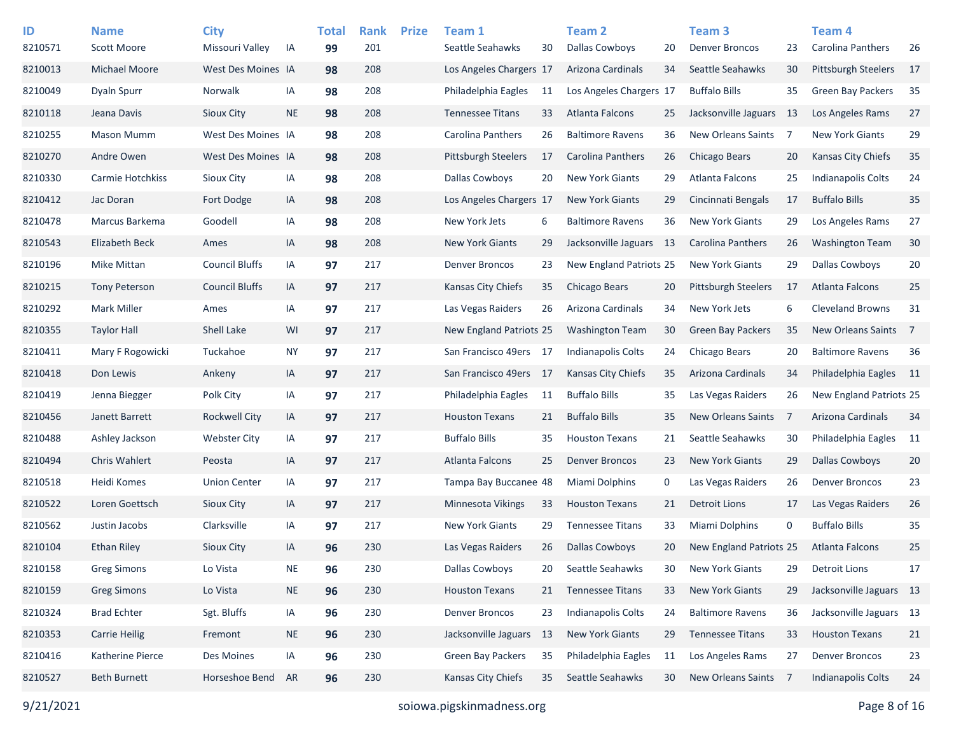| ID<br>8210571 | <b>Name</b><br><b>Scott Moore</b> | <b>City</b><br>Missouri Valley | IA        | <b>Total</b><br>99 | <b>Rank</b><br>201 | <b>Prize</b> | Team 1<br>Seattle Seahawks | 30  | Team <sub>2</sub><br><b>Dallas Cowboys</b> | 20 | Team <sub>3</sub><br><b>Denver Broncos</b> | 23   | Team 4<br><b>Carolina Panthers</b> | 26              |
|---------------|-----------------------------------|--------------------------------|-----------|--------------------|--------------------|--------------|----------------------------|-----|--------------------------------------------|----|--------------------------------------------|------|------------------------------------|-----------------|
| 8210013       | <b>Michael Moore</b>              | West Des Moines IA             |           | 98                 | 208                |              | Los Angeles Chargers 17    |     | Arizona Cardinals                          | 34 | Seattle Seahawks                           | 30   | <b>Pittsburgh Steelers</b>         | 17              |
| 8210049       | <b>Dyaln Spurr</b>                | Norwalk                        | IA        | 98                 | 208                |              | Philadelphia Eagles        | 11  | Los Angeles Chargers 17                    |    | <b>Buffalo Bills</b>                       | 35   | <b>Green Bay Packers</b>           | 35              |
| 8210118       | Jeana Davis                       | Sioux City                     | <b>NE</b> | 98                 | 208                |              | <b>Tennessee Titans</b>    | 33  | Atlanta Falcons                            | 25 | Jacksonville Jaguars                       | - 13 | Los Angeles Rams                   | 27              |
| 8210255       | <b>Mason Mumm</b>                 | West Des Moines IA             |           | 98                 | 208                |              | Carolina Panthers          | 26  | <b>Baltimore Ravens</b>                    | 36 | New Orleans Saints 7                       |      | New York Giants                    | 29              |
| 8210270       | Andre Owen                        | West Des Moines IA             |           | 98                 | 208                |              | <b>Pittsburgh Steelers</b> | 17  | Carolina Panthers                          | 26 | Chicago Bears                              | 20   | Kansas City Chiefs                 | 35              |
| 8210330       | Carmie Hotchkiss                  | Sioux City                     | IA        | 98                 | 208                |              | Dallas Cowboys             | 20  | <b>New York Giants</b>                     | 29 | Atlanta Falcons                            | 25   | Indianapolis Colts                 | 24              |
| 8210412       | Jac Doran                         | Fort Dodge                     | IA        | 98                 | 208                |              | Los Angeles Chargers 17    |     | <b>New York Giants</b>                     | 29 | Cincinnati Bengals                         | 17   | <b>Buffalo Bills</b>               | 35              |
| 8210478       | Marcus Barkema                    | Goodell                        | IA        | 98                 | 208                |              | New York Jets              | 6   | <b>Baltimore Ravens</b>                    | 36 | <b>New York Giants</b>                     | 29   | Los Angeles Rams                   | 27              |
| 8210543       | <b>Elizabeth Beck</b>             | Ames                           | IA        | 98                 | 208                |              | <b>New York Giants</b>     | 29  | Jacksonville Jaguars 13                    |    | Carolina Panthers                          | 26   | <b>Washington Team</b>             | 30              |
| 8210196       | <b>Mike Mittan</b>                | <b>Council Bluffs</b>          | IA        | 97                 | 217                |              | <b>Denver Broncos</b>      | 23  | New England Patriots 25                    |    | <b>New York Giants</b>                     | 29   | <b>Dallas Cowboys</b>              | 20              |
| 8210215       | <b>Tony Peterson</b>              | <b>Council Bluffs</b>          | IA        | 97                 | 217                |              | Kansas City Chiefs         | 35  | Chicago Bears                              | 20 | Pittsburgh Steelers                        | 17   | <b>Atlanta Falcons</b>             | 25              |
| 8210292       | Mark Miller                       | Ames                           | IA        | 97                 | 217                |              | Las Vegas Raiders          | 26  | Arizona Cardinals                          | 34 | New York Jets                              | 6    | <b>Cleveland Browns</b>            | 31              |
| 8210355       | <b>Taylor Hall</b>                | Shell Lake                     | WI        | 97                 | 217                |              | New England Patriots 25    |     | <b>Washington Team</b>                     | 30 | <b>Green Bay Packers</b>                   | 35   | <b>New Orleans Saints</b>          | $\overline{7}$  |
| 8210411       | Mary F Rogowicki                  | Tuckahoe                       | <b>NY</b> | 97                 | 217                |              | San Francisco 49ers 17     |     | <b>Indianapolis Colts</b>                  | 24 | Chicago Bears                              | 20   | <b>Baltimore Ravens</b>            | 36              |
| 8210418       | Don Lewis                         | Ankeny                         | IA        | 97                 | 217                |              | San Francisco 49ers        | -17 | <b>Kansas City Chiefs</b>                  | 35 | Arizona Cardinals                          | 34   | Philadelphia Eagles                | $\overline{11}$ |
| 8210419       | Jenna Biegger                     | Polk City                      | IA        | 97                 | 217                |              | Philadelphia Eagles        | 11  | <b>Buffalo Bills</b>                       | 35 | Las Vegas Raiders                          | 26   | New England Patriots 25            |                 |
| 8210456       | Janett Barrett                    | Rockwell City                  | IA        | 97                 | 217                |              | <b>Houston Texans</b>      | 21  | <b>Buffalo Bills</b>                       | 35 | New Orleans Saints                         | - 7  | Arizona Cardinals                  | 34              |
| 8210488       | Ashley Jackson                    | <b>Webster City</b>            | IA        | 97                 | 217                |              | <b>Buffalo Bills</b>       | 35  | <b>Houston Texans</b>                      | 21 | Seattle Seahawks                           | 30   | Philadelphia Eagles                | 11              |
| 8210494       | <b>Chris Wahlert</b>              | Peosta                         | IA        | 97                 | 217                |              | <b>Atlanta Falcons</b>     | 25  | <b>Denver Broncos</b>                      | 23 | <b>New York Giants</b>                     | 29   | <b>Dallas Cowboys</b>              | 20              |
| 8210518       | Heidi Komes                       | <b>Union Center</b>            | IA        | 97                 | 217                |              | Tampa Bay Buccanee 48      |     | <b>Miami Dolphins</b>                      | 0  | Las Vegas Raiders                          | 26   | <b>Denver Broncos</b>              | 23              |
| 8210522       | Loren Goettsch                    | Sioux City                     | IA        | 97                 | 217                |              | Minnesota Vikings          | 33  | <b>Houston Texans</b>                      | 21 | <b>Detroit Lions</b>                       | 17   | Las Vegas Raiders                  | 26              |
| 8210562       | Justin Jacobs                     | Clarksville                    | IA        | 97                 | 217                |              | <b>New York Giants</b>     | 29  | <b>Tennessee Titans</b>                    | 33 | Miami Dolphins                             | 0    | <b>Buffalo Bills</b>               | 35              |
| 8210104       | Ethan Riley                       | Sioux City                     | IA        | 96                 | 230                |              | Las Vegas Raiders          | 26  | <b>Dallas Cowboys</b>                      | 20 | New England Patriots 25                    |      | <b>Atlanta Falcons</b>             | 25              |
| 8210158       | <b>Greg Simons</b>                | Lo Vista                       | <b>NE</b> | 96                 | 230                |              | Dallas Cowboys             | 20  | Seattle Seahawks                           | 30 | <b>New York Giants</b>                     | 29   | <b>Detroit Lions</b>               | 17              |
| 8210159       | <b>Greg Simons</b>                | Lo Vista                       | <b>NE</b> | 96                 | 230                |              | <b>Houston Texans</b>      | 21  | <b>Tennessee Titans</b>                    | 33 | New York Giants                            | 29   | Jacksonville Jaguars 13            |                 |
| 8210324       | <b>Brad Echter</b>                | Sgt. Bluffs                    | IA        | 96                 | 230                |              | <b>Denver Broncos</b>      | 23  | Indianapolis Colts                         | 24 | <b>Baltimore Ravens</b>                    | 36   | Jacksonville Jaguars 13            |                 |
| 8210353       | <b>Carrie Heilig</b>              | Fremont                        | <b>NE</b> | 96                 | 230                |              | Jacksonville Jaguars       | -13 | New York Giants                            | 29 | <b>Tennessee Titans</b>                    | 33   | <b>Houston Texans</b>              | 21              |
| 8210416       | Katherine Pierce                  | Des Moines                     | IA        | 96                 | 230                |              | Green Bay Packers          | 35  | Philadelphia Eagles                        | 11 | Los Angeles Rams                           | 27   | <b>Denver Broncos</b>              | 23              |
| 8210527       | <b>Beth Burnett</b>               | Horseshoe Bend                 | AR        | 96                 | 230                |              | Kansas City Chiefs         | 35  | Seattle Seahawks                           | 30 | New Orleans Saints 7                       |      | <b>Indianapolis Colts</b>          | 24              |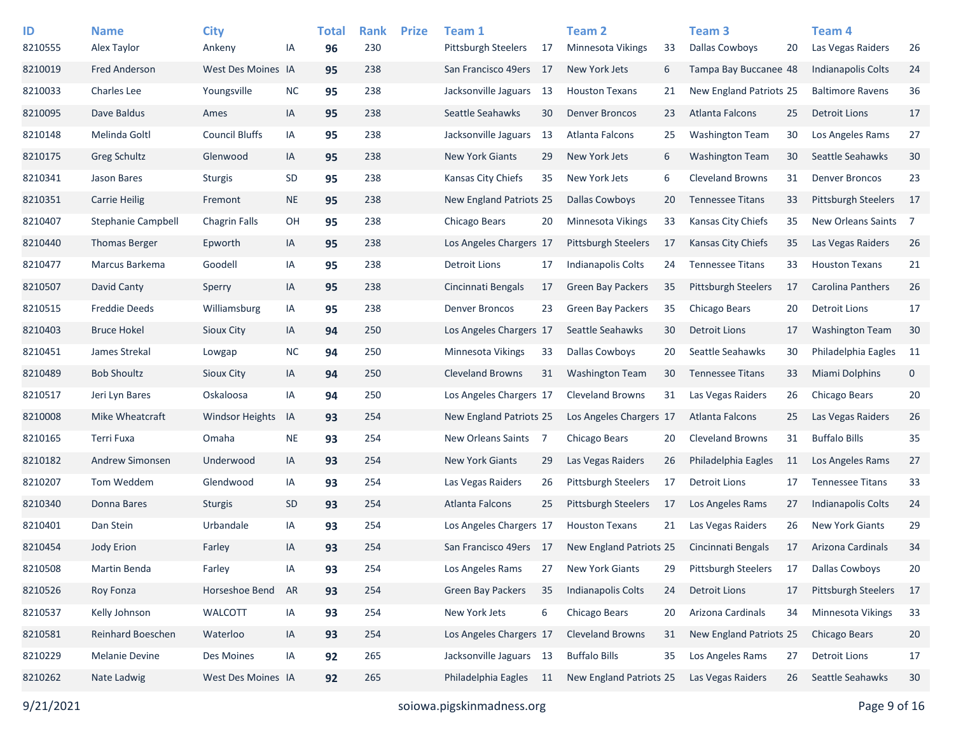| ID      | <b>Name</b>               | <b>City</b>            |           | <b>Total</b> | <b>Rank</b> | <b>Prize</b> | Team 1                     |     | <b>Team 2</b>              |    | Team 3                  |    | Team 4                     |             |
|---------|---------------------------|------------------------|-----------|--------------|-------------|--------------|----------------------------|-----|----------------------------|----|-------------------------|----|----------------------------|-------------|
| 8210555 | Alex Taylor               | Ankeny                 | ΙA        | 96           | 230         |              | <b>Pittsburgh Steelers</b> | 17  | <b>Minnesota Vikings</b>   | 33 | <b>Dallas Cowboys</b>   | 20 | Las Vegas Raiders          | 26          |
| 8210019 | <b>Fred Anderson</b>      | West Des Moines IA     |           | 95           | 238         |              | San Francisco 49ers        | -17 | New York Jets              | 6  | Tampa Bay Buccanee 48   |    | <b>Indianapolis Colts</b>  | 24          |
| 8210033 | <b>Charles Lee</b>        | Youngsville            | <b>NC</b> | 95           | 238         |              | Jacksonville Jaguars       | -13 | <b>Houston Texans</b>      | 21 | New England Patriots 25 |    | <b>Baltimore Ravens</b>    | 36          |
| 8210095 | Dave Baldus               | Ames                   | IA        | 95           | 238         |              | Seattle Seahawks           | 30  | <b>Denver Broncos</b>      | 23 | <b>Atlanta Falcons</b>  | 25 | <b>Detroit Lions</b>       | 17          |
| 8210148 | Melinda Goltl             | <b>Council Bluffs</b>  | IA        | 95           | 238         |              | Jacksonville Jaguars       | 13  | Atlanta Falcons            | 25 | <b>Washington Team</b>  | 30 | Los Angeles Rams           | 27          |
| 8210175 | Greg Schultz              | Glenwood               | IA        | 95           | 238         |              | <b>New York Giants</b>     | 29  | New York Jets              | 6  | <b>Washington Team</b>  | 30 | Seattle Seahawks           | $30\,$      |
| 8210341 | Jason Bares               | <b>Sturgis</b>         | SD        | 95           | 238         |              | Kansas City Chiefs         | 35  | New York Jets              | 6  | <b>Cleveland Browns</b> | 31 | <b>Denver Broncos</b>      | 23          |
| 8210351 | <b>Carrie Heilig</b>      | Fremont                | <b>NE</b> | 95           | 238         |              | New England Patriots 25    |     | <b>Dallas Cowboys</b>      | 20 | <b>Tennessee Titans</b> | 33 | <b>Pittsburgh Steelers</b> | 17          |
| 8210407 | <b>Stephanie Campbell</b> | <b>Chagrin Falls</b>   | OH        | 95           | 238         |              | Chicago Bears              | 20  | Minnesota Vikings          | 33 | Kansas City Chiefs      | 35 | New Orleans Saints 7       |             |
| 8210440 | <b>Thomas Berger</b>      | Epworth                | IA        | 95           | 238         |              | Los Angeles Chargers 17    |     | Pittsburgh Steelers        | 17 | Kansas City Chiefs      | 35 | Las Vegas Raiders          | 26          |
| 8210477 | Marcus Barkema            | Goodell                | IA        | 95           | 238         |              | Detroit Lions              | 17  | <b>Indianapolis Colts</b>  | 24 | <b>Tennessee Titans</b> | 33 | <b>Houston Texans</b>      | 21          |
| 8210507 | David Canty               | Sperry                 | IA        | 95           | 238         |              | Cincinnati Bengals         | 17  | <b>Green Bay Packers</b>   | 35 | Pittsburgh Steelers     | 17 | <b>Carolina Panthers</b>   | 26          |
| 8210515 | <b>Freddie Deeds</b>      | Williamsburg           | IA        | 95           | 238         |              | <b>Denver Broncos</b>      | 23  | <b>Green Bay Packers</b>   | 35 | Chicago Bears           | 20 | <b>Detroit Lions</b>       | 17          |
| 8210403 | <b>Bruce Hokel</b>        | Sioux City             | IA        | 94           | 250         |              | Los Angeles Chargers 17    |     | Seattle Seahawks           | 30 | <b>Detroit Lions</b>    | 17 | <b>Washington Team</b>     | 30          |
| 8210451 | James Strekal             | Lowgap                 | <b>NC</b> | 94           | 250         |              | Minnesota Vikings          | 33  | <b>Dallas Cowboys</b>      | 20 | Seattle Seahawks        | 30 | Philadelphia Eagles        | 11          |
| 8210489 | <b>Bob Shoultz</b>        | Sioux City             | IA        | 94           | 250         |              | <b>Cleveland Browns</b>    | 31  | <b>Washington Team</b>     | 30 | <b>Tennessee Titans</b> | 33 | <b>Miami Dolphins</b>      | $\mathbf 0$ |
| 8210517 | Jeri Lyn Bares            | Oskaloosa              | IA        | 94           | 250         |              | Los Angeles Chargers 17    |     | <b>Cleveland Browns</b>    | 31 | Las Vegas Raiders       | 26 | <b>Chicago Bears</b>       | 20          |
| 8210008 | Mike Wheatcraft           | <b>Windsor Heights</b> | 1A        | 93           | 254         |              | New England Patriots 25    |     | Los Angeles Chargers 17    |    | <b>Atlanta Falcons</b>  | 25 | Las Vegas Raiders          | 26          |
| 8210165 | Terri Fuxa                | Omaha                  | <b>NE</b> | 93           | 254         |              | New Orleans Saints         | -7  | Chicago Bears              | 20 | Cleveland Browns        | 31 | <b>Buffalo Bills</b>       | 35          |
| 8210182 | Andrew Simonsen           | Underwood              | IA        | 93           | 254         |              | <b>New York Giants</b>     | 29  | Las Vegas Raiders          | 26 | Philadelphia Eagles     | 11 | Los Angeles Rams           | 27          |
| 8210207 | Tom Weddem                | Glendwood              | IA        | 93           | 254         |              | Las Vegas Raiders          | 26  | <b>Pittsburgh Steelers</b> | 17 | Detroit Lions           | 17 | <b>Tennessee Titans</b>    | 33          |
| 8210340 | Donna Bares               | <b>Sturgis</b>         | <b>SD</b> | 93           | 254         |              | Atlanta Falcons            | 25  | <b>Pittsburgh Steelers</b> | 17 | Los Angeles Rams        | 27 | <b>Indianapolis Colts</b>  | 24          |
| 8210401 | Dan Stein                 | Urbandale              | IA        | 93           | 254         |              | Los Angeles Chargers 17    |     | <b>Houston Texans</b>      | 21 | Las Vegas Raiders       | 26 | <b>New York Giants</b>     | 29          |
| 8210454 | <b>Jody Erion</b>         | Farley                 | IA        | 93           | 254         |              | San Francisco 49ers 17     |     | New England Patriots 25    |    | Cincinnati Bengals      | 17 | Arizona Cardinals          | 34          |
| 8210508 | Martin Benda              | Farley                 | IA        | 93           | 254         |              | Los Angeles Rams           | 27  | New York Giants            | 29 | Pittsburgh Steelers     | 17 | <b>Dallas Cowboys</b>      | 20          |
| 8210526 | Roy Fonza                 | Horseshoe Bend         | <b>AR</b> | 93           | 254         |              | <b>Green Bay Packers</b>   | 35  | <b>Indianapolis Colts</b>  | 24 | <b>Detroit Lions</b>    | 17 | Pittsburgh Steelers        | 17          |
| 8210537 | Kelly Johnson             | WALCOTT                | IA        | 93           | 254         |              | New York Jets              | 6   | Chicago Bears              | 20 | Arizona Cardinals       | 34 | Minnesota Vikings          | 33          |
| 8210581 | Reinhard Boeschen         | Waterloo               | IA        | 93           | 254         |              | Los Angeles Chargers 17    |     | <b>Cleveland Browns</b>    | 31 | New England Patriots 25 |    | Chicago Bears              | 20          |
| 8210229 | <b>Melanie Devine</b>     | Des Moines             | IA        | 92           | 265         |              | Jacksonville Jaguars 13    |     | <b>Buffalo Bills</b>       | 35 | Los Angeles Rams        | 27 | <b>Detroit Lions</b>       | 17          |
| 8210262 | Nate Ladwig               | West Des Moines IA     |           | 92           | 265         |              | Philadelphia Eagles        | -11 | New England Patriots 25    |    | Las Vegas Raiders       | 26 | Seattle Seahawks           | 30          |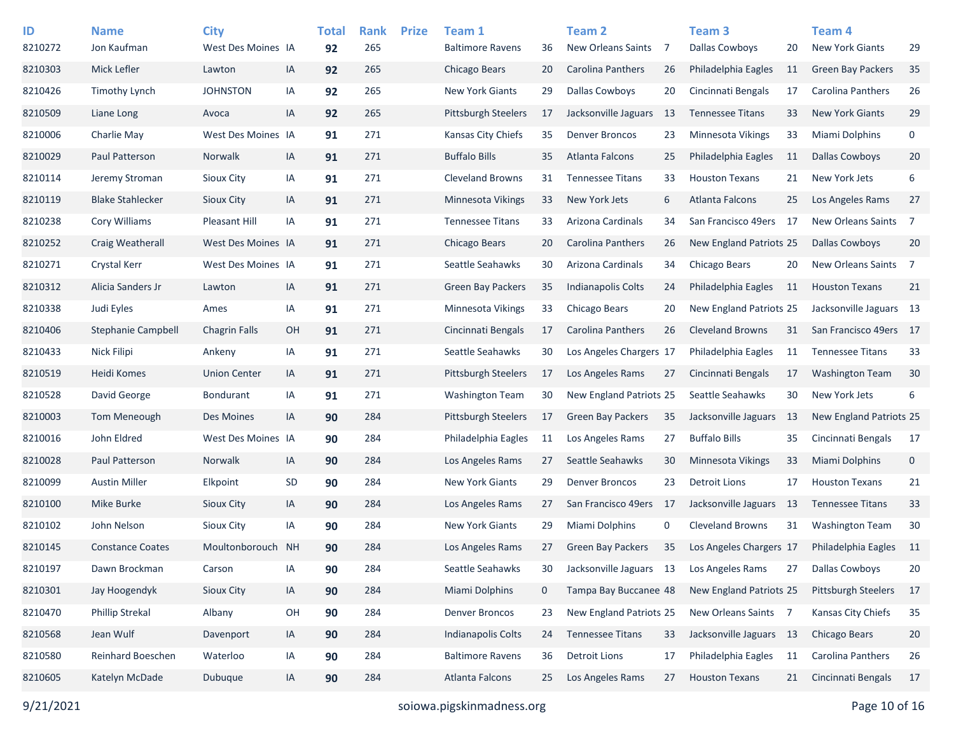| ID<br>8210272 | <b>Name</b><br>Jon Kaufman | <b>City</b><br>West Des Moines IA |    | <b>Total</b><br>92 | <b>Rank</b><br>265 | <b>Prize</b> | Team 1<br><b>Baltimore Ravens</b> | 36          | <b>Team 2</b><br><b>New Orleans Saints</b> | -7  | Team <sub>3</sub><br><b>Dallas Cowboys</b> | 20  | Team <sub>4</sub><br><b>New York Giants</b> | 29             |
|---------------|----------------------------|-----------------------------------|----|--------------------|--------------------|--------------|-----------------------------------|-------------|--------------------------------------------|-----|--------------------------------------------|-----|---------------------------------------------|----------------|
| 8210303       | Mick Lefler                | Lawton                            | IA | 92                 | 265                |              | Chicago Bears                     | 20          | Carolina Panthers                          | 26  | Philadelphia Eagles                        | 11  | <b>Green Bay Packers</b>                    | 35             |
| 8210426       | <b>Timothy Lynch</b>       | <b>JOHNSTON</b>                   | IA | 92                 | 265                |              | <b>New York Giants</b>            | 29          | <b>Dallas Cowboys</b>                      | 20  | Cincinnati Bengals                         | 17  | Carolina Panthers                           | 26             |
| 8210509       | Liane Long                 | Avoca                             | IA | 92                 | 265                |              | <b>Pittsburgh Steelers</b>        | 17          | Jacksonville Jaguars                       | -13 | <b>Tennessee Titans</b>                    | 33  | <b>New York Giants</b>                      | 29             |
| 8210006       | Charlie May                | West Des Moines IA                |    | 91                 | 271                |              | Kansas City Chiefs                | 35          | <b>Denver Broncos</b>                      | 23  | Minnesota Vikings                          | 33  | Miami Dolphins                              | 0              |
| 8210029       | Paul Patterson             | Norwalk                           | IA | 91                 | 271                |              | <b>Buffalo Bills</b>              | 35          | <b>Atlanta Falcons</b>                     | 25  | Philadelphia Eagles                        | 11  | <b>Dallas Cowboys</b>                       | 20             |
| 8210114       | Jeremy Stroman             | Sioux City                        | IA | 91                 | 271                |              | <b>Cleveland Browns</b>           | 31          | <b>Tennessee Titans</b>                    | 33  | <b>Houston Texans</b>                      | 21  | New York Jets                               | 6              |
| 8210119       | <b>Blake Stahlecker</b>    | Sioux City                        | IA | 91                 | 271                |              | Minnesota Vikings                 | 33          | New York Jets                              | 6   | Atlanta Falcons                            | 25  | Los Angeles Rams                            | 27             |
| 8210238       | <b>Cory Williams</b>       | <b>Pleasant Hill</b>              | IA | 91                 | 271                |              | <b>Tennessee Titans</b>           | 33          | Arizona Cardinals                          | 34  | San Francisco 49ers 17                     |     | New Orleans Saints 7                        |                |
| 8210252       | Craig Weatherall           | West Des Moines IA                |    | 91                 | 271                |              | Chicago Bears                     | 20          | Carolina Panthers                          | 26  | New England Patriots 25                    |     | <b>Dallas Cowboys</b>                       | 20             |
| 8210271       | Crystal Kerr               | West Des Moines IA                |    | 91                 | 271                |              | Seattle Seahawks                  | 30          | Arizona Cardinals                          | 34  | Chicago Bears                              | 20  | New Orleans Saints                          | $\overline{7}$ |
| 8210312       | Alicia Sanders Jr          | Lawton                            | IA | 91                 | 271                |              | Green Bay Packers                 | 35          | <b>Indianapolis Colts</b>                  | 24  | Philadelphia Eagles                        | 11  | <b>Houston Texans</b>                       | 21             |
| 8210338       | Judi Eyles                 | Ames                              | IA | 91                 | 271                |              | Minnesota Vikings                 | 33          | Chicago Bears                              | 20  | New England Patriots 25                    |     | Jacksonville Jaguars 13                     |                |
| 8210406       | Stephanie Campbell         | <b>Chagrin Falls</b>              | OH | 91                 | 271                |              | Cincinnati Bengals                | 17          | Carolina Panthers                          | 26  | <b>Cleveland Browns</b>                    | 31  | San Francisco 49ers 17                      |                |
| 8210433       | Nick Filipi                | Ankeny                            | IA | 91                 | 271                |              | Seattle Seahawks                  | 30          | Los Angeles Chargers 17                    |     | Philadelphia Eagles                        | 11  | <b>Tennessee Titans</b>                     | 33             |
| 8210519       | Heidi Komes                | <b>Union Center</b>               | IA | 91                 | 271                |              | <b>Pittsburgh Steelers</b>        | 17          | Los Angeles Rams                           | 27  | Cincinnati Bengals                         | 17  | <b>Washington Team</b>                      | 30             |
| 8210528       | David George               | <b>Bondurant</b>                  | IA | 91                 | 271                |              | <b>Washington Team</b>            | 30          | New England Patriots 25                    |     | Seattle Seahawks                           | 30  | New York Jets                               | 6              |
| 8210003       | Tom Meneough               | Des Moines                        | IA | 90                 | 284                |              | <b>Pittsburgh Steelers</b>        | 17          | <b>Green Bay Packers</b>                   | 35  | Jacksonville Jaguars                       | -13 | New England Patriots 25                     |                |
| 8210016       | John Eldred                | West Des Moines IA                |    | 90                 | 284                |              | Philadelphia Eagles               | 11          | Los Angeles Rams                           | 27  | <b>Buffalo Bills</b>                       | 35  | Cincinnati Bengals                          | 17             |
| 8210028       | Paul Patterson             | Norwalk                           | IA | 90                 | 284                |              | Los Angeles Rams                  | 27          | Seattle Seahawks                           | 30  | Minnesota Vikings                          | 33  | Miami Dolphins                              | $\mathbf 0$    |
| 8210099       | <b>Austin Miller</b>       | Elkpoint                          | SD | 90                 | 284                |              | <b>New York Giants</b>            | 29          | <b>Denver Broncos</b>                      | 23  | <b>Detroit Lions</b>                       | 17  | <b>Houston Texans</b>                       | 21             |
| 8210100       | Mike Burke                 | <b>Sioux City</b>                 | IA | 90                 | 284                |              | Los Angeles Rams                  | 27          | San Francisco 49ers                        | -17 | Jacksonville Jaguars                       | -13 | <b>Tennessee Titans</b>                     | 33             |
| 8210102       | John Nelson                | Sioux City                        | IA | 90                 | 284                |              | <b>New York Giants</b>            | 29          | Miami Dolphins                             | 0   | <b>Cleveland Browns</b>                    | 31  | <b>Washington Team</b>                      | 30             |
| 8210145       | <b>Constance Coates</b>    | Moultonborouch NH                 |    | 90                 | 284                |              | Los Angeles Rams                  | 27          | Green Bay Packers                          | 35  | Los Angeles Chargers 17                    |     | Philadelphia Eagles                         | 11             |
| 8210197       | Dawn Brockman              | Carson                            | IA | 90                 | 284                |              | Seattle Seahawks                  | 30          | Jacksonville Jaguars 13                    |     | Los Angeles Rams                           | 27  | <b>Dallas Cowboys</b>                       | 20             |
| 8210301       | Jay Hoogendyk              | Sioux City                        | IA | 90                 | 284                |              | Miami Dolphins                    | $\mathbf 0$ | Tampa Bay Buccanee 48                      |     | New England Patriots 25                    |     | Pittsburgh Steelers                         | 17             |
| 8210470       | Phillip Strekal            | Albany                            | OH | 90                 | 284                |              | <b>Denver Broncos</b>             | 23          | New England Patriots 25                    |     | New Orleans Saints 7                       |     | Kansas City Chiefs                          | 35             |
| 8210568       | Jean Wulf                  | Davenport                         | IA | 90                 | 284                |              | <b>Indianapolis Colts</b>         | 24          | <b>Tennessee Titans</b>                    | 33  | Jacksonville Jaguars 13                    |     | Chicago Bears                               | 20             |
| 8210580       | Reinhard Boeschen          | Waterloo                          | IA | 90                 | 284                |              | <b>Baltimore Ravens</b>           | 36          | <b>Detroit Lions</b>                       | 17  | Philadelphia Eagles                        | 11  | Carolina Panthers                           | 26             |
| 8210605       | Katelyn McDade             | Dubuque                           | IA | 90                 | 284                |              | Atlanta Falcons                   | 25          | Los Angeles Rams                           | 27  | <b>Houston Texans</b>                      | 21  | Cincinnati Bengals                          | 17             |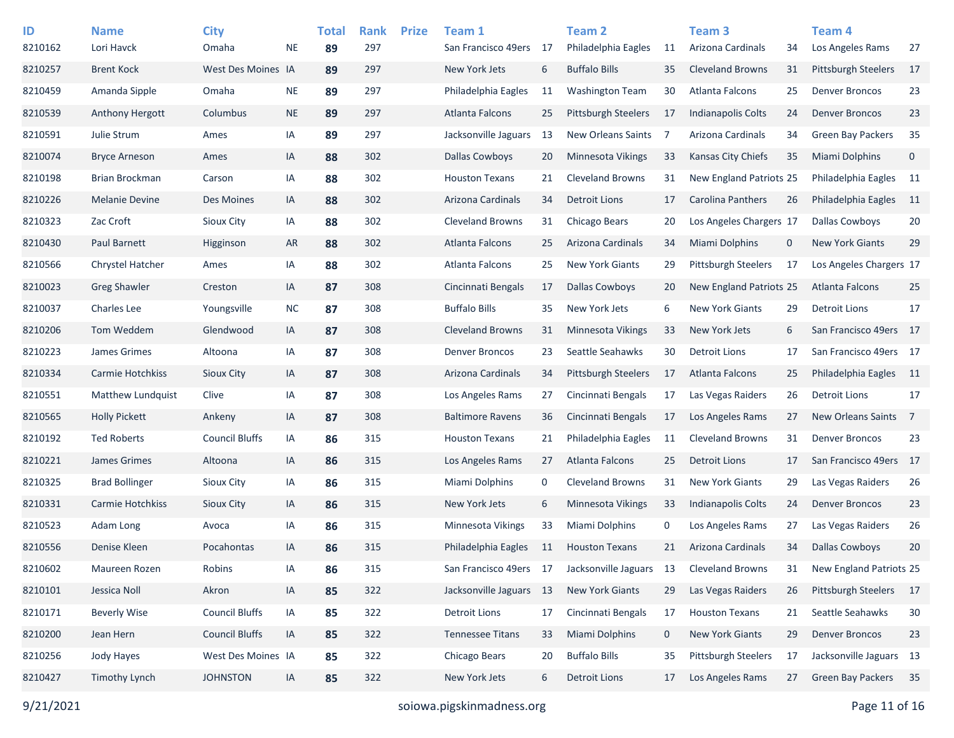| ID      | <b>Name</b>             | <b>City</b>           |           | <b>Total</b> | <b>Rank</b> | <b>Prize</b> | Team 1                  |    | Team 2                     |    | Team <sub>3</sub>          |             | Team 4                   |                |
|---------|-------------------------|-----------------------|-----------|--------------|-------------|--------------|-------------------------|----|----------------------------|----|----------------------------|-------------|--------------------------|----------------|
| 8210162 | Lori Havck              | Omaha                 | <b>NE</b> | 89           | 297         |              | San Francisco 49ers     | 17 | Philadelphia Eagles        | 11 | Arizona Cardinals          | 34          | Los Angeles Rams         | 27             |
| 8210257 | <b>Brent Kock</b>       | West Des Moines IA    |           | 89           | 297         |              | New York Jets           | 6  | <b>Buffalo Bills</b>       | 35 | <b>Cleveland Browns</b>    | 31          | Pittsburgh Steelers      | 17             |
| 8210459 | Amanda Sipple           | Omaha                 | <b>NE</b> | 89           | 297         |              | Philadelphia Eagles     | 11 | <b>Washington Team</b>     | 30 | Atlanta Falcons            | 25          | <b>Denver Broncos</b>    | 23             |
| 8210539 | <b>Anthony Hergott</b>  | Columbus              | <b>NE</b> | 89           | 297         |              | <b>Atlanta Falcons</b>  | 25 | <b>Pittsburgh Steelers</b> | 17 | Indianapolis Colts         | 24          | <b>Denver Broncos</b>    | 23             |
| 8210591 | Julie Strum             | Ames                  | IA        | 89           | 297         |              | Jacksonville Jaguars    | 13 | New Orleans Saints         | 7  | Arizona Cardinals          | 34          | <b>Green Bay Packers</b> | 35             |
| 8210074 | <b>Bryce Arneson</b>    | Ames                  | IA        | 88           | 302         |              | <b>Dallas Cowboys</b>   | 20 | Minnesota Vikings          | 33 | Kansas City Chiefs         | 35          | Miami Dolphins           | $\mathbf 0$    |
| 8210198 | Brian Brockman          | Carson                | IA        | 88           | 302         |              | <b>Houston Texans</b>   | 21 | <b>Cleveland Browns</b>    | 31 | New England Patriots 25    |             | Philadelphia Eagles      | - 11           |
| 8210226 | <b>Melanie Devine</b>   | Des Moines            | IA        | 88           | 302         |              | Arizona Cardinals       | 34 | <b>Detroit Lions</b>       | 17 | <b>Carolina Panthers</b>   | 26          | Philadelphia Eagles      | -11            |
| 8210323 | Zac Croft               | Sioux City            | IA        | 88           | 302         |              | <b>Cleveland Browns</b> | 31 | Chicago Bears              | 20 | Los Angeles Chargers 17    |             | <b>Dallas Cowboys</b>    | 20             |
| 8210430 | Paul Barnett            | Higginson             | AR        | 88           | 302         |              | Atlanta Falcons         | 25 | Arizona Cardinals          | 34 | Miami Dolphins             | $\mathbf 0$ | <b>New York Giants</b>   | 29             |
| 8210566 | Chrystel Hatcher        | Ames                  | IA        | 88           | 302         |              | Atlanta Falcons         | 25 | <b>New York Giants</b>     | 29 | <b>Pittsburgh Steelers</b> | 17          | Los Angeles Chargers 17  |                |
| 8210023 | <b>Greg Shawler</b>     | Creston               | IA        | 87           | 308         |              | Cincinnati Bengals      | 17 | Dallas Cowboys             | 20 | New England Patriots 25    |             | Atlanta Falcons          | 25             |
| 8210037 | <b>Charles Lee</b>      | Youngsville           | <b>NC</b> | 87           | 308         |              | <b>Buffalo Bills</b>    | 35 | New York Jets              | 6  | <b>New York Giants</b>     | 29          | <b>Detroit Lions</b>     | 17             |
| 8210206 | Tom Weddem              | Glendwood             | IA        | 87           | 308         |              | <b>Cleveland Browns</b> | 31 | Minnesota Vikings          | 33 | New York Jets              | 6           | San Francisco 49ers 17   |                |
| 8210223 | James Grimes            | Altoona               | IA        | 87           | 308         |              | <b>Denver Broncos</b>   | 23 | Seattle Seahawks           | 30 | Detroit Lions              | 17          | San Francisco 49ers 17   |                |
| 8210334 | Carmie Hotchkiss        | Sioux City            | IA        | 87           | 308         |              | Arizona Cardinals       | 34 | <b>Pittsburgh Steelers</b> | 17 | <b>Atlanta Falcons</b>     | 25          | Philadelphia Eagles      | - 11           |
| 8210551 | Matthew Lundquist       | Clive                 | IA        | 87           | 308         |              | Los Angeles Rams        | 27 | Cincinnati Bengals         | 17 | Las Vegas Raiders          | 26          | <b>Detroit Lions</b>     | 17             |
| 8210565 | <b>Holly Pickett</b>    | Ankeny                | IA        | 87           | 308         |              | <b>Baltimore Ravens</b> | 36 | Cincinnati Bengals         | 17 | Los Angeles Rams           | 27          | New Orleans Saints       | $\overline{7}$ |
| 8210192 | <b>Ted Roberts</b>      | <b>Council Bluffs</b> | IA        | 86           | 315         |              | <b>Houston Texans</b>   | 21 | Philadelphia Eagles        | 11 | <b>Cleveland Browns</b>    | 31          | <b>Denver Broncos</b>    | 23             |
| 8210221 | James Grimes            | Altoona               | IA        | 86           | 315         |              | Los Angeles Rams        | 27 | Atlanta Falcons            | 25 | <b>Detroit Lions</b>       | 17          | San Francisco 49ers 17   |                |
| 8210325 | <b>Brad Bollinger</b>   | Sioux City            | IA        | 86           | 315         |              | <b>Miami Dolphins</b>   | 0  | <b>Cleveland Browns</b>    | 31 | <b>New York Giants</b>     | 29          | Las Vegas Raiders        | 26             |
| 8210331 | <b>Carmie Hotchkiss</b> | Sioux City            | IA        | 86           | 315         |              | New York Jets           | 6  | Minnesota Vikings          | 33 | Indianapolis Colts         | 24          | <b>Denver Broncos</b>    | 23             |
| 8210523 | Adam Long               | Avoca                 | IA        | 86           | 315         |              | Minnesota Vikings       | 33 | Miami Dolphins             | 0  | Los Angeles Rams           | 27          | Las Vegas Raiders        | 26             |
| 8210556 | Denise Kleen            | Pocahontas            | IA        | 86           | 315         |              | Philadelphia Eagles     | 11 | <b>Houston Texans</b>      | 21 | Arizona Cardinals          | 34          | <b>Dallas Cowboys</b>    | 20             |
| 8210602 | Maureen Rozen           | Robins                | IA        | 86           | 315         |              | San Francisco 49ers     | 17 | Jacksonville Jaguars       | 13 | Cleveland Browns           | 31          | New England Patriots 25  |                |
| 8210101 | Jessica Noll            | Akron                 | IA        | 85           | 322         |              | Jacksonville Jaguars 13 |    | New York Giants            | 29 | Las Vegas Raiders          | 26          | Pittsburgh Steelers      | 17             |
| 8210171 | <b>Beverly Wise</b>     | <b>Council Bluffs</b> | IA        | 85           | 322         |              | <b>Detroit Lions</b>    | 17 | Cincinnati Bengals         | 17 | <b>Houston Texans</b>      | 21          | Seattle Seahawks         | 30             |
| 8210200 | Jean Hern               | <b>Council Bluffs</b> | IA        | 85           | 322         |              | <b>Tennessee Titans</b> | 33 | Miami Dolphins             | 0  | New York Giants            | 29          | <b>Denver Broncos</b>    | 23             |
| 8210256 | Jody Hayes              | West Des Moines IA    |           | 85           | 322         |              | Chicago Bears           | 20 | <b>Buffalo Bills</b>       | 35 | <b>Pittsburgh Steelers</b> | 17          | Jacksonville Jaguars 13  |                |
| 8210427 | Timothy Lynch           | <b>JOHNSTON</b>       | IA        | 85           | 322         |              | New York Jets           | 6  | <b>Detroit Lions</b>       | 17 | Los Angeles Rams           | 27          | Green Bay Packers        | 35             |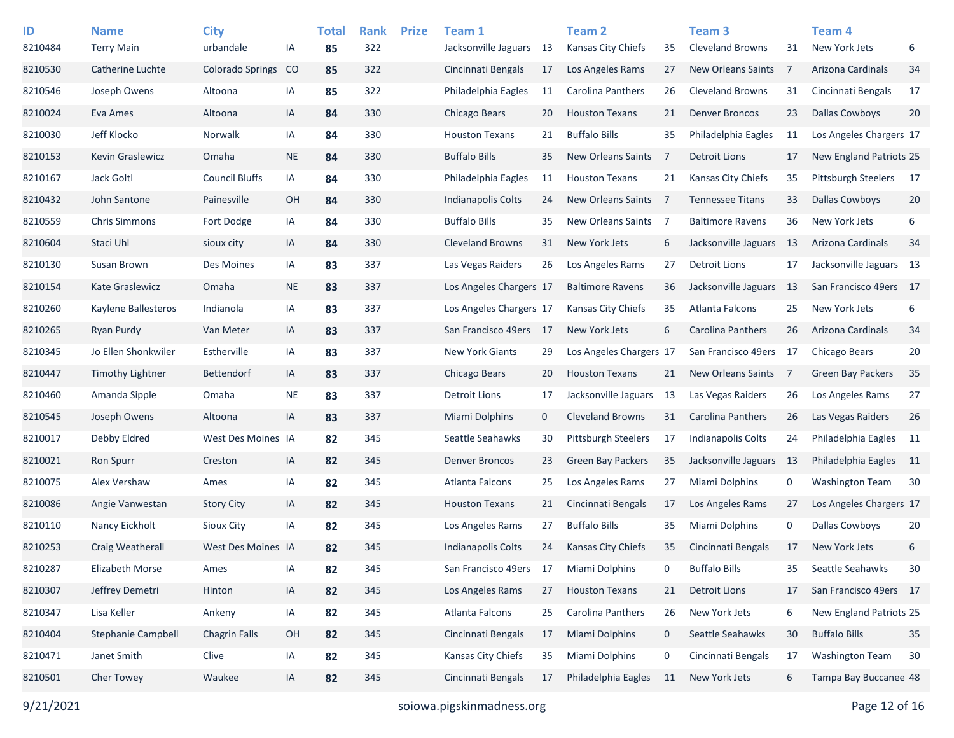| ID<br>8210484 | <b>Name</b><br><b>Terry Main</b> | <b>City</b><br>urbandale | IA            | <b>Total</b><br>85 | <b>Rank</b><br>322 | <b>Prize</b> | Team 1<br>Jacksonville Jaguars | -13         | <b>Team 2</b><br>Kansas City Chiefs | 35  | Team <sub>3</sub><br><b>Cleveland Browns</b> | 31             | Team 4<br>New York Jets        | 6               |
|---------------|----------------------------------|--------------------------|---------------|--------------------|--------------------|--------------|--------------------------------|-------------|-------------------------------------|-----|----------------------------------------------|----------------|--------------------------------|-----------------|
| 8210530       | Catherine Luchte                 | <b>Colorado Springs</b>  | <sub>co</sub> | 85                 | 322                |              | Cincinnati Bengals             | 17          | Los Angeles Rams                    | 27  | <b>New Orleans Saints</b>                    | -7             | Arizona Cardinals              | 34              |
| 8210546       | Joseph Owens                     | Altoona                  | IA            | 85                 | 322                |              | Philadelphia Eagles            | 11          | Carolina Panthers                   | 26  | <b>Cleveland Browns</b>                      | 31             | Cincinnati Bengals             | 17              |
| 8210024       | Eva Ames                         | Altoona                  | IA            | 84                 | 330                |              | Chicago Bears                  | 20          | <b>Houston Texans</b>               | 21  | <b>Denver Broncos</b>                        | 23             | <b>Dallas Cowboys</b>          | 20              |
| 8210030       | Jeff Klocko                      | Norwalk                  | IA            | 84                 | 330                |              | <b>Houston Texans</b>          | 21          | <b>Buffalo Bills</b>                | 35  | Philadelphia Eagles                          | 11             | Los Angeles Chargers 17        |                 |
| 8210153       | Kevin Graslewicz                 | Omaha                    | <b>NE</b>     | 84                 | 330                |              | <b>Buffalo Bills</b>           | 35          | <b>New Orleans Saints</b>           | 7   | <b>Detroit Lions</b>                         | 17             | <b>New England Patriots 25</b> |                 |
| 8210167       | Jack Goltl                       | <b>Council Bluffs</b>    | IA            | 84                 | 330                |              | Philadelphia Eagles            | 11          | <b>Houston Texans</b>               | 21  | Kansas City Chiefs                           | 35             | Pittsburgh Steelers            | 17              |
| 8210432       | John Santone                     | Painesville              | OH            | 84                 | 330                |              | <b>Indianapolis Colts</b>      | 24          | <b>New Orleans Saints</b>           | -7  | <b>Tennessee Titans</b>                      | 33             | <b>Dallas Cowboys</b>          | 20              |
| 8210559       | <b>Chris Simmons</b>             | Fort Dodge               | ΙA            | 84                 | 330                |              | <b>Buffalo Bills</b>           | 35          | New Orleans Saints                  | -7  | <b>Baltimore Ravens</b>                      | 36             | New York Jets                  | 6               |
| 8210604       | Staci Uhl                        | sioux city               | IA            | 84                 | 330                |              | <b>Cleveland Browns</b>        | 31          | New York Jets                       | 6   | Jacksonville Jaguars                         | 13             | Arizona Cardinals              | 34              |
| 8210130       | Susan Brown                      | Des Moines               | IA            | 83                 | 337                |              | Las Vegas Raiders              | 26          | Los Angeles Rams                    | 27  | <b>Detroit Lions</b>                         | 17             | Jacksonville Jaguars 13        |                 |
| 8210154       | <b>Kate Graslewicz</b>           | Omaha                    | <b>NE</b>     | 83                 | 337                |              | Los Angeles Chargers 17        |             | <b>Baltimore Ravens</b>             | 36  | Jacksonville Jaguars                         | -13            | San Francisco 49ers 17         |                 |
| 8210260       | Kaylene Ballesteros              | Indianola                | IA            | 83                 | 337                |              | Los Angeles Chargers 17        |             | Kansas City Chiefs                  | 35  | Atlanta Falcons                              | 25             | New York Jets                  | 6               |
| 8210265       | Ryan Purdy                       | Van Meter                | IA            | 83                 | 337                |              | San Francisco 49ers            | -17         | New York Jets                       | 6   | Carolina Panthers                            | 26             | Arizona Cardinals              | 34              |
| 8210345       | Jo Ellen Shonkwiler              | Estherville              | IA            | 83                 | 337                |              | <b>New York Giants</b>         | 29          | Los Angeles Chargers 17             |     | San Francisco 49ers 17                       |                | Chicago Bears                  | 20              |
| 8210447       | Timothy Lightner                 | <b>Bettendorf</b>        | IA            | 83                 | 337                |              | Chicago Bears                  | 20          | <b>Houston Texans</b>               | 21  | <b>New Orleans Saints</b>                    | $\overline{7}$ | Green Bay Packers              | 35              |
| 8210460       | Amanda Sipple                    | Omaha                    | <b>NE</b>     | 83                 | 337                |              | <b>Detroit Lions</b>           | 17          | Jacksonville Jaguars                | 13  | Las Vegas Raiders                            | 26             | Los Angeles Rams               | 27              |
| 8210545       | Joseph Owens                     | Altoona                  | IA            | 83                 | 337                |              | <b>Miami Dolphins</b>          | $\mathbf 0$ | <b>Cleveland Browns</b>             | 31  | Carolina Panthers                            | 26             | Las Vegas Raiders              | 26              |
| 8210017       | Debby Eldred                     | West Des Moines IA       |               | 82                 | 345                |              | Seattle Seahawks               | 30          | <b>Pittsburgh Steelers</b>          | 17  | <b>Indianapolis Colts</b>                    | 24             | Philadelphia Eagles            | - 11            |
| 8210021       | <b>Ron Spurr</b>                 | Creston                  | IA            | 82                 | 345                |              | <b>Denver Broncos</b>          | 23          | <b>Green Bay Packers</b>            | 35  | Jacksonville Jaguars                         | - 13           | Philadelphia Eagles            | $\overline{11}$ |
| 8210075       | Alex Vershaw                     | Ames                     | ΙA            | 82                 | 345                |              | Atlanta Falcons                | 25          | Los Angeles Rams                    | 27  | Miami Dolphins                               | 0              | <b>Washington Team</b>         | 30              |
| 8210086       | Angie Vanwestan                  | <b>Story City</b>        | IA            | 82                 | 345                |              | <b>Houston Texans</b>          | 21          | Cincinnati Bengals                  | 17  | Los Angeles Rams                             | 27             | Los Angeles Chargers 17        |                 |
| 8210110       | Nancy Eickholt                   | Sioux City               | IA            | 82                 | 345                |              | Los Angeles Rams               | 27          | <b>Buffalo Bills</b>                | 35  | Miami Dolphins                               | 0              | <b>Dallas Cowboys</b>          | 20              |
| 8210253       | Craig Weatherall                 | West Des Moines IA       |               | 82                 | 345                |              | <b>Indianapolis Colts</b>      | 24          | Kansas City Chiefs                  | 35  | Cincinnati Bengals                           | 17             | New York Jets                  | 6               |
| 8210287       | Elizabeth Morse                  | Ames                     | IA            | 82                 | 345                |              | San Francisco 49ers            | 17          | <b>Miami Dolphins</b>               | 0   | <b>Buffalo Bills</b>                         | 35             | Seattle Seahawks               | 30              |
| 8210307       | Jeffrey Demetri                  | Hinton                   | IA            | 82                 | 345                |              | Los Angeles Rams               | 27          | <b>Houston Texans</b>               | 21  | <b>Detroit Lions</b>                         | 17             | San Francisco 49ers 17         |                 |
| 8210347       | Lisa Keller                      | Ankeny                   | IA            | 82                 | 345                |              | Atlanta Falcons                | 25          | <b>Carolina Panthers</b>            | 26  | New York Jets                                | 6              | New England Patriots 25        |                 |
| 8210404       | Stephanie Campbell               | <b>Chagrin Falls</b>     | OH            | 82                 | 345                |              | Cincinnati Bengals             | 17          | Miami Dolphins                      | 0   | Seattle Seahawks                             | 30             | <b>Buffalo Bills</b>           | 35              |
| 8210471       | Janet Smith                      | Clive                    | IA            | 82                 | 345                |              | Kansas City Chiefs             | 35          | Miami Dolphins                      | 0   | Cincinnati Bengals                           | 17             | <b>Washington Team</b>         | 30              |
| 8210501       | Cher Towey                       | Waukee                   | IA            | 82                 | 345                |              | Cincinnati Bengals             | 17          | Philadelphia Eagles                 | -11 | New York Jets                                | 6              | Tampa Bay Buccanee 48          |                 |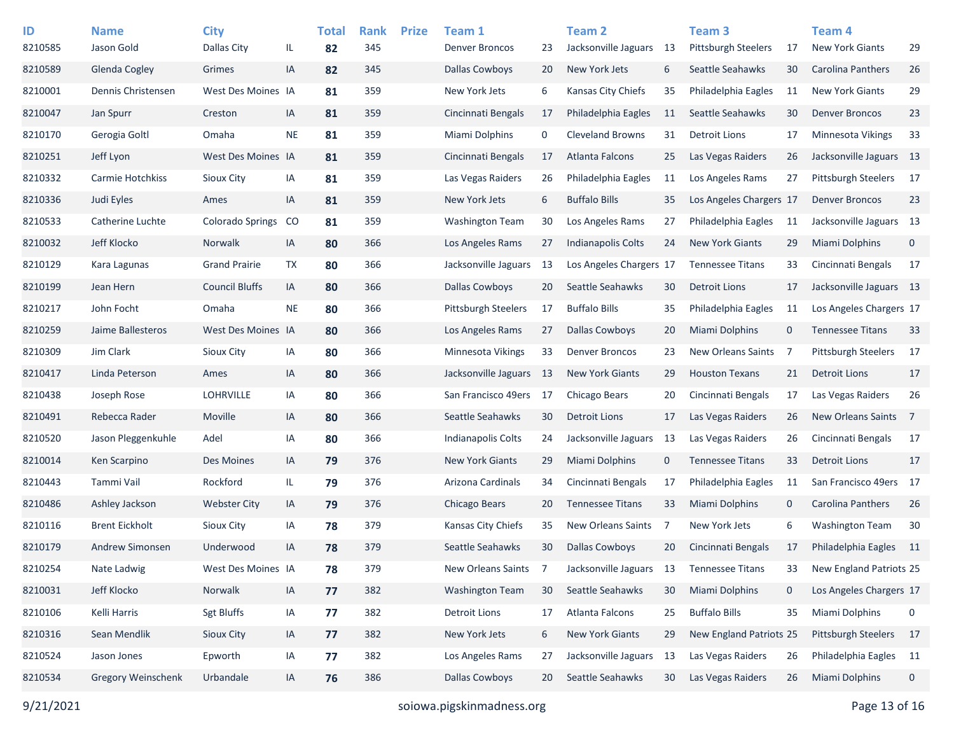| ID<br>8210585 | <b>Name</b><br>Jason Gold | <b>City</b><br>Dallas City | IL.       | <b>Total</b><br>82 | <b>Rank</b><br>345 | <b>Prize</b> | Team 1<br><b>Denver Broncos</b> | 23  | Team <sub>2</sub><br>Jacksonville Jaguars | - 13 | Team <sub>3</sub><br>Pittsburgh Steelers | 17          | Team <sub>4</sub><br><b>New York Giants</b> | 29             |
|---------------|---------------------------|----------------------------|-----------|--------------------|--------------------|--------------|---------------------------------|-----|-------------------------------------------|------|------------------------------------------|-------------|---------------------------------------------|----------------|
| 8210589       | Glenda Cogley             | Grimes                     | IA        | 82                 | 345                |              | <b>Dallas Cowboys</b>           | 20  | New York Jets                             | 6    | Seattle Seahawks                         | 30          | Carolina Panthers                           | 26             |
| 8210001       | Dennis Christensen        | West Des Moines IA         |           | 81                 | 359                |              | New York Jets                   | 6   | Kansas City Chiefs                        | 35   | Philadelphia Eagles                      | 11          | <b>New York Giants</b>                      | 29             |
| 8210047       | Jan Spurr                 | Creston                    | IA        | 81                 | 359                |              | Cincinnati Bengals              | 17  | Philadelphia Eagles                       | 11   | Seattle Seahawks                         | 30          | <b>Denver Broncos</b>                       | 23             |
| 8210170       | Gerogia Goltl             | Omaha                      | <b>NE</b> | 81                 | 359                |              | Miami Dolphins                  | 0   | <b>Cleveland Browns</b>                   | 31   | <b>Detroit Lions</b>                     | 17          | <b>Minnesota Vikings</b>                    | 33             |
| 8210251       | Jeff Lyon                 | West Des Moines IA         |           | 81                 | 359                |              | Cincinnati Bengals              | 17  | Atlanta Falcons                           | 25   | Las Vegas Raiders                        | 26          | Jacksonville Jaguars 13                     |                |
| 8210332       | Carmie Hotchkiss          | Sioux City                 | IA        | 81                 | 359                |              | Las Vegas Raiders               | 26  | Philadelphia Eagles                       | 11   | Los Angeles Rams                         | 27          | <b>Pittsburgh Steelers</b>                  | -17            |
| 8210336       | Judi Eyles                | Ames                       | IA        | 81                 | 359                |              | New York Jets                   | 6   | <b>Buffalo Bills</b>                      | 35   | Los Angeles Chargers 17                  |             | <b>Denver Broncos</b>                       | 23             |
| 8210533       | Catherine Luchte          | <b>Colorado Springs</b>    | CO        | 81                 | 359                |              | Washington Team                 | 30  | Los Angeles Rams                          | 27   | Philadelphia Eagles                      | -11         | Jacksonville Jaguars 13                     |                |
| 8210032       | Jeff Klocko               | Norwalk                    | IA        | 80                 | 366                |              | Los Angeles Rams                | 27  | <b>Indianapolis Colts</b>                 | 24   | <b>New York Giants</b>                   | 29          | Miami Dolphins                              | $\mathbf 0$    |
| 8210129       | Kara Lagunas              | <b>Grand Prairie</b>       | TX        | 80                 | 366                |              | Jacksonville Jaguars            | 13  | Los Angeles Chargers 17                   |      | <b>Tennessee Titans</b>                  | 33          | Cincinnati Bengals                          | 17             |
| 8210199       | Jean Hern                 | <b>Council Bluffs</b>      | IA        | 80                 | 366                |              | <b>Dallas Cowboys</b>           | 20  | Seattle Seahawks                          | 30   | <b>Detroit Lions</b>                     | 17          | Jacksonville Jaguars 13                     |                |
| 8210217       | John Focht                | Omaha                      | <b>NE</b> | 80                 | 366                |              | <b>Pittsburgh Steelers</b>      | 17  | <b>Buffalo Bills</b>                      | 35   | Philadelphia Eagles                      | 11          | Los Angeles Chargers 17                     |                |
| 8210259       | Jaime Ballesteros         | West Des Moines IA         |           | 80                 | 366                |              | Los Angeles Rams                | 27  | Dallas Cowboys                            | 20   | Miami Dolphins                           | $\mathbf 0$ | <b>Tennessee Titans</b>                     | 33             |
| 8210309       | Jim Clark                 | Sioux City                 | IA        | 80                 | 366                |              | Minnesota Vikings               | 33  | <b>Denver Broncos</b>                     | 23   | <b>New Orleans Saints</b>                | -7          | Pittsburgh Steelers                         | 17             |
| 8210417       | Linda Peterson            | Ames                       | IA        | 80                 | 366                |              | Jacksonville Jaguars            | -13 | <b>New York Giants</b>                    | 29   | <b>Houston Texans</b>                    | 21          | <b>Detroit Lions</b>                        | 17             |
| 8210438       | Joseph Rose               | <b>LOHRVILLE</b>           | IA        | 80                 | 366                |              | San Francisco 49ers             | 17  | Chicago Bears                             | 20   | Cincinnati Bengals                       | 17          | Las Vegas Raiders                           | 26             |
| 8210491       | Rebecca Rader             | Moville                    | IA        | 80                 | 366                |              | Seattle Seahawks                | 30  | Detroit Lions                             | 17   | Las Vegas Raiders                        | 26          | New Orleans Saints                          | $\overline{7}$ |
| 8210520       | Jason Pleggenkuhle        | Adel                       | IA        | 80                 | 366                |              | Indianapolis Colts              | 24  | Jacksonville Jaguars                      | 13   | Las Vegas Raiders                        | 26          | Cincinnati Bengals                          | 17             |
| 8210014       | Ken Scarpino              | Des Moines                 | IA        | 79                 | 376                |              | <b>New York Giants</b>          | 29  | <b>Miami Dolphins</b>                     | 0    | <b>Tennessee Titans</b>                  | 33          | <b>Detroit Lions</b>                        | 17             |
| 8210443       | Tammi Vail                | Rockford                   | IL.       | 79                 | 376                |              | Arizona Cardinals               | 34  | Cincinnati Bengals                        | 17   | Philadelphia Eagles                      | 11          | San Francisco 49ers 17                      |                |
| 8210486       | Ashley Jackson            | <b>Webster City</b>        | IA        | 79                 | 376                |              | Chicago Bears                   | 20  | <b>Tennessee Titans</b>                   | 33   | Miami Dolphins                           | 0           | Carolina Panthers                           | 26             |
| 8210116       | <b>Brent Eickholt</b>     | Sioux City                 | IA        | 78                 | 379                |              | Kansas City Chiefs              | 35  | New Orleans Saints                        | 7    | New York Jets                            | 6           | <b>Washington Team</b>                      | 30             |
| 8210179       | Andrew Simonsen           | Underwood                  | IA        | 78                 | 379                |              | Seattle Seahawks                | 30  | <b>Dallas Cowboys</b>                     | 20   | Cincinnati Bengals                       | 17          | Philadelphia Eagles                         | 11             |
| 8210254       | Nate Ladwig               | West Des Moines IA         |           | 78                 | 379                |              | New Orleans Saints              | 7   | Jacksonville Jaguars                      | 13   | <b>Tennessee Titans</b>                  | 33          | New England Patriots 25                     |                |
| 8210031       | Jeff Klocko               | Norwalk                    | IA        | 77                 | 382                |              | <b>Washington Team</b>          | 30  | Seattle Seahawks                          | 30   | Miami Dolphins                           | $\mathbf 0$ | Los Angeles Chargers 17                     |                |
| 8210106       | Kelli Harris              | <b>Sgt Bluffs</b>          | IA        | 77                 | 382                |              | <b>Detroit Lions</b>            | 17  | Atlanta Falcons                           | 25   | <b>Buffalo Bills</b>                     | 35          | Miami Dolphins                              | $\mathbf 0$    |
| 8210316       | Sean Mendlik              | Sioux City                 | IA        | 77                 | 382                |              | New York Jets                   | 6   | New York Giants                           | 29   | New England Patriots 25                  |             | Pittsburgh Steelers                         | 17             |
| 8210524       | Jason Jones               | Epworth                    | IA        | 77                 | 382                |              | Los Angeles Rams                | 27  | Jacksonville Jaguars                      | -13  | Las Vegas Raiders                        | 26          | Philadelphia Eagles 11                      |                |
| 8210534       | Gregory Weinschenk        | Urbandale                  | IA        | 76                 | 386                |              | <b>Dallas Cowboys</b>           | 20  | Seattle Seahawks                          | 30   | Las Vegas Raiders                        | 26          | Miami Dolphins                              | 0              |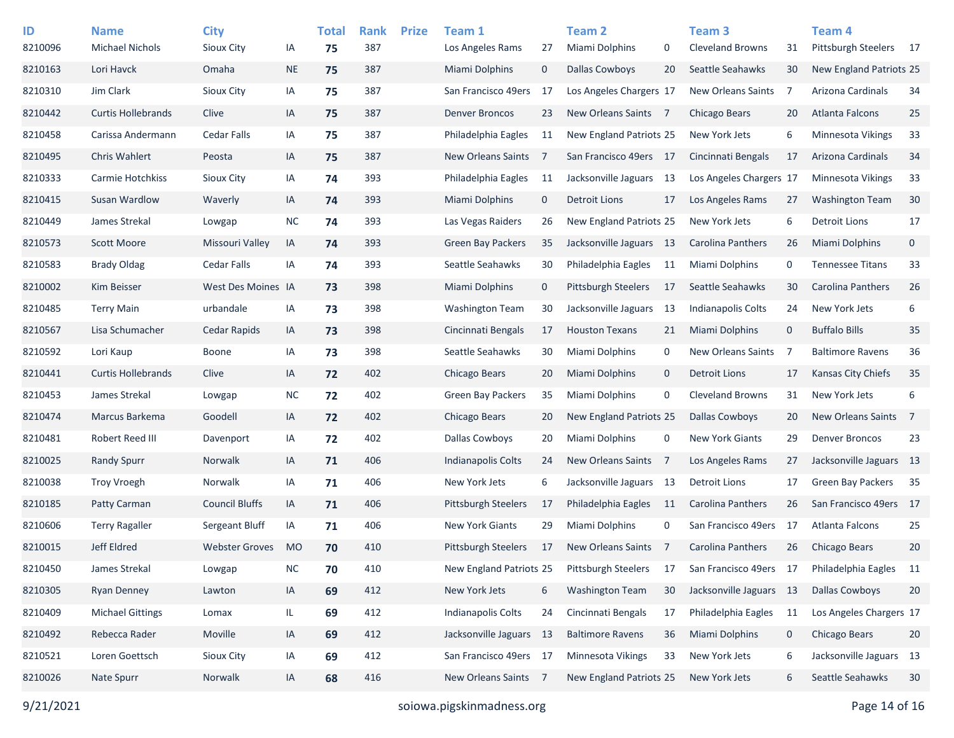| ID<br>8210096 | <b>Name</b><br><b>Michael Nichols</b> | <b>City</b><br>Sioux City | IA        | <b>Total</b><br>75 | <b>Rank</b><br>387 | <b>Prize</b> | Team 1<br>Los Angeles Rams | 27          | Team <sub>2</sub><br>Miami Dolphins | 0           | Team <sub>3</sub><br><b>Cleveland Browns</b> | 31          | Team <sub>4</sub><br>Pittsburgh Steelers | 17             |
|---------------|---------------------------------------|---------------------------|-----------|--------------------|--------------------|--------------|----------------------------|-------------|-------------------------------------|-------------|----------------------------------------------|-------------|------------------------------------------|----------------|
| 8210163       | Lori Havck                            | Omaha                     | <b>NE</b> | 75                 | 387                |              | <b>Miami Dolphins</b>      | $\mathbf 0$ | <b>Dallas Cowboys</b>               | 20          | Seattle Seahawks                             | 30          | New England Patriots 25                  |                |
| 8210310       | Jim Clark                             | Sioux City                | IA        | 75                 | 387                |              | San Francisco 49ers        | 17          | Los Angeles Chargers 17             |             | <b>New Orleans Saints</b>                    | -7          | Arizona Cardinals                        | 34             |
| 8210442       | <b>Curtis Hollebrands</b>             | Clive                     | IA        | 75                 | 387                |              | <b>Denver Broncos</b>      | 23          | New Orleans Saints 7                |             | Chicago Bears                                | 20          | <b>Atlanta Falcons</b>                   | 25             |
| 8210458       | Carissa Andermann                     | <b>Cedar Falls</b>        | IA        | 75                 | 387                |              | Philadelphia Eagles        | 11          | <b>New England Patriots 25</b>      |             | New York Jets                                | 6           | <b>Minnesota Vikings</b>                 | 33             |
| 8210495       | <b>Chris Wahlert</b>                  | Peosta                    | IA        | 75                 | 387                |              | <b>New Orleans Saints</b>  | 7           | San Francisco 49ers 17              |             | Cincinnati Bengals                           | 17          | Arizona Cardinals                        | 34             |
| 8210333       | Carmie Hotchkiss                      | Sioux City                | IA        | 74                 | 393                |              | Philadelphia Eagles        | 11          | Jacksonville Jaguars 13             |             | Los Angeles Chargers 17                      |             | Minnesota Vikings                        | 33             |
| 8210415       | Susan Wardlow                         | Waverly                   | IA        | 74                 | 393                |              | <b>Miami Dolphins</b>      | $\mathbf 0$ | <b>Detroit Lions</b>                | 17          | Los Angeles Rams                             | 27          | <b>Washington Team</b>                   | 30             |
| 8210449       | James Strekal                         | Lowgap                    | <b>NC</b> | 74                 | 393                |              | Las Vegas Raiders          | 26          | New England Patriots 25             |             | New York Jets                                | 6           | <b>Detroit Lions</b>                     | 17             |
| 8210573       | Scott Moore                           | Missouri Valley           | IA        | 74                 | 393                |              | <b>Green Bay Packers</b>   | 35          | Jacksonville Jaguars 13             |             | Carolina Panthers                            | 26          | <b>Miami Dolphins</b>                    | 0              |
| 8210583       | <b>Brady Oldag</b>                    | <b>Cedar Falls</b>        | IA        | 74                 | 393                |              | Seattle Seahawks           | 30          | Philadelphia Eagles                 | 11          | <b>Miami Dolphins</b>                        | 0           | <b>Tennessee Titans</b>                  | 33             |
| 8210002       | Kim Beisser                           | West Des Moines IA        |           | 73                 | 398                |              | <b>Miami Dolphins</b>      | $\mathbf 0$ | <b>Pittsburgh Steelers</b>          | -17         | Seattle Seahawks                             | 30          | Carolina Panthers                        | 26             |
| 8210485       | <b>Terry Main</b>                     | urbandale                 | IA        | 73                 | 398                |              | <b>Washington Team</b>     | 30          | Jacksonville Jaguars                | -13         | <b>Indianapolis Colts</b>                    | 24          | New York Jets                            | 6              |
| 8210567       | Lisa Schumacher                       | Cedar Rapids              | IA        | 73                 | 398                |              | Cincinnati Bengals         | 17          | <b>Houston Texans</b>               | 21          | <b>Miami Dolphins</b>                        | $\mathbf 0$ | <b>Buffalo Bills</b>                     | 35             |
| 8210592       | Lori Kaup                             | Boone                     | IA        | 73                 | 398                |              | Seattle Seahawks           | 30          | Miami Dolphins                      | 0           | New Orleans Saints                           | -7          | <b>Baltimore Ravens</b>                  | 36             |
| 8210441       | <b>Curtis Hollebrands</b>             | Clive                     | IA        | 72                 | 402                |              | <b>Chicago Bears</b>       | 20          | Miami Dolphins                      | $\mathbf 0$ | <b>Detroit Lions</b>                         | 17          | Kansas City Chiefs                       | 35             |
| 8210453       | James Strekal                         | Lowgap                    | <b>NC</b> | 72                 | 402                |              | <b>Green Bay Packers</b>   | 35          | Miami Dolphins                      | 0           | <b>Cleveland Browns</b>                      | 31          | New York Jets                            | 6              |
| 8210474       | Marcus Barkema                        | Goodell                   | IA        | 72                 | 402                |              | Chicago Bears              | 20          | New England Patriots 25             |             | Dallas Cowboys                               | 20          | New Orleans Saints                       | $\overline{7}$ |
| 8210481       | Robert Reed III                       | Davenport                 | IA        | 72                 | 402                |              | <b>Dallas Cowboys</b>      | 20          | Miami Dolphins                      | 0           | <b>New York Giants</b>                       | 29          | <b>Denver Broncos</b>                    | 23             |
| 8210025       | <b>Randy Spurr</b>                    | Norwalk                   | IA        | 71                 | 406                |              | Indianapolis Colts         | 24          | <b>New Orleans Saints</b>           | 7           | Los Angeles Rams                             | 27          | Jacksonville Jaguars 13                  |                |
| 8210038       | Troy Vroegh                           | Norwalk                   | IA        | 71                 | 406                |              | New York Jets              | 6           | Jacksonville Jaguars                | - 13        | <b>Detroit Lions</b>                         | 17          | <b>Green Bay Packers</b>                 | - 35           |
| 8210185       | Patty Carman                          | <b>Council Bluffs</b>     | IA        | 71                 | 406                |              | Pittsburgh Steelers        | 17          | Philadelphia Eagles                 | 11          | Carolina Panthers                            | 26          | San Francisco 49ers                      | 17             |
| 8210606       | <b>Terry Ragaller</b>                 | Sergeant Bluff            | IA        | 71                 | 406                |              | <b>New York Giants</b>     | 29          | Miami Dolphins                      | 0           | San Francisco 49ers                          | -17         | Atlanta Falcons                          | 25             |
| 8210015       | Jeff Eldred                           | <b>Webster Groves</b>     | <b>MO</b> | 70                 | 410                |              | <b>Pittsburgh Steelers</b> | 17          | <b>New Orleans Saints</b>           | 7           | Carolina Panthers                            | 26          | <b>Chicago Bears</b>                     | 20             |
| 8210450       | James Strekal                         | Lowgap                    | $\sf NC$  | 70                 | 410                |              | New England Patriots 25    |             | Pittsburgh Steelers                 | 17          | San Francisco 49ers 17                       |             | Philadelphia Eagles                      | - 11           |
| 8210305       | <b>Ryan Denney</b>                    | Lawton                    | IA        | 69                 | 412                |              | New York Jets              | 6           | <b>Washington Team</b>              | 30          | Jacksonville Jaguars 13                      |             | <b>Dallas Cowboys</b>                    | 20             |
| 8210409       | <b>Michael Gittings</b>               | Lomax                     | IL.       | 69                 | 412                |              | Indianapolis Colts         | 24          | Cincinnati Bengals                  | 17          | Philadelphia Eagles                          | 11          | Los Angeles Chargers 17                  |                |
| 8210492       | Rebecca Rader                         | Moville                   | IA        | 69                 | 412                |              | Jacksonville Jaguars 13    |             | <b>Baltimore Ravens</b>             | 36          | Miami Dolphins                               | $\mathbf 0$ | Chicago Bears                            | 20             |
| 8210521       | Loren Goettsch                        | Sioux City                | IA        | 69                 | 412                |              | San Francisco 49ers 17     |             | Minnesota Vikings                   | 33          | New York Jets                                | 6           | Jacksonville Jaguars 13                  |                |
| 8210026       | Nate Spurr                            | Norwalk                   | IA        | 68                 | 416                |              | New Orleans Saints 7       |             | New England Patriots 25             |             | New York Jets                                | 6           | Seattle Seahawks                         | 30             |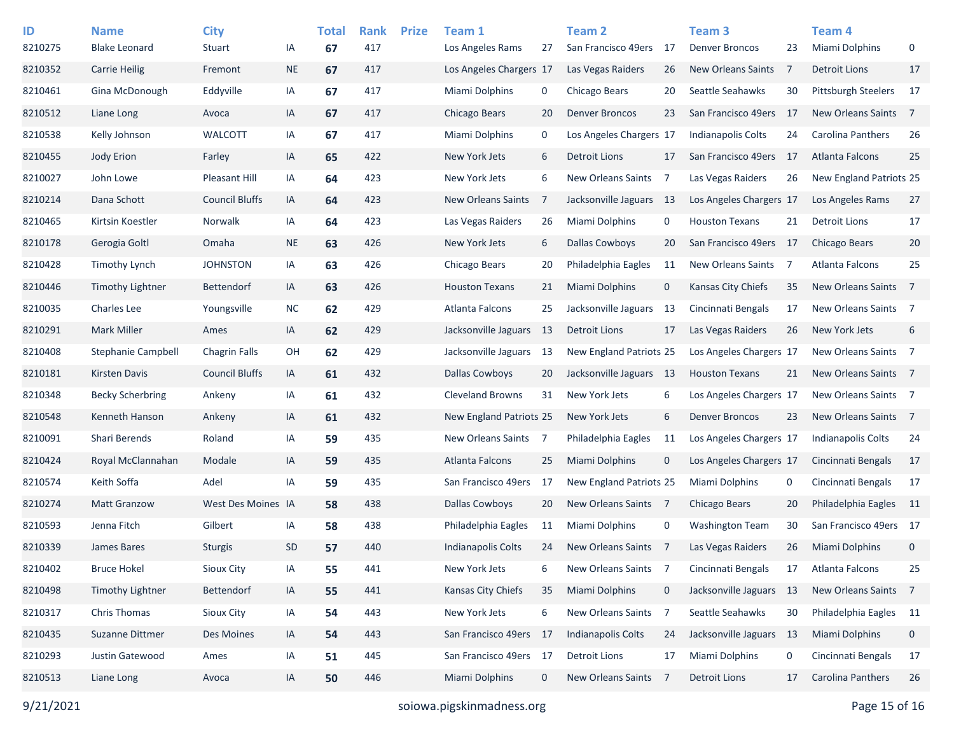| ID<br>8210275 | <b>Name</b><br><b>Blake Leonard</b> | <b>City</b><br>Stuart | IA        | <b>Total</b><br>67 | <b>Rank</b><br>417 | <b>Prize</b> | Team 1<br>Los Angeles Rams | 27          | <b>Team 2</b><br>San Francisco 49ers | - 17           | Team <sub>3</sub><br><b>Denver Broncos</b> | 23             | Team 4<br>Miami Dolphins   | 0               |
|---------------|-------------------------------------|-----------------------|-----------|--------------------|--------------------|--------------|----------------------------|-------------|--------------------------------------|----------------|--------------------------------------------|----------------|----------------------------|-----------------|
| 8210352       | <b>Carrie Heilig</b>                | Fremont               | $\sf NE$  | 67                 | 417                |              | Los Angeles Chargers 17    |             | Las Vegas Raiders                    | 26             | New Orleans Saints                         | -7             | <b>Detroit Lions</b>       | 17              |
| 8210461       | Gina McDonough                      | Eddyville             | IA        | 67                 | 417                |              | Miami Dolphins             | 0           | Chicago Bears                        | 20             | Seattle Seahawks                           | 30             | <b>Pittsburgh Steelers</b> | 17              |
| 8210512       | Liane Long                          | Avoca                 | IA        | 67                 | 417                |              | Chicago Bears              | 20          | <b>Denver Broncos</b>                | 23             | San Francisco 49ers                        | - 17           | <b>New Orleans Saints</b>  | $\overline{7}$  |
| 8210538       | Kelly Johnson                       | WALCOTT               | IA        | 67                 | 417                |              | Miami Dolphins             | 0           | Los Angeles Chargers 17              |                | <b>Indianapolis Colts</b>                  | 24             | Carolina Panthers          | 26              |
| 8210455       | <b>Jody Erion</b>                   | Farley                | IA        | 65                 | 422                |              | New York Jets              | 6           | <b>Detroit Lions</b>                 | 17             | San Francisco 49ers                        | - 17           | <b>Atlanta Falcons</b>     | 25              |
| 8210027       | John Lowe                           | <b>Pleasant Hill</b>  | IA        | 64                 | 423                |              | New York Jets              | 6           | New Orleans Saints                   | 7              | Las Vegas Raiders                          | 26             | New England Patriots 25    |                 |
| 8210214       | Dana Schott                         | <b>Council Bluffs</b> | IA        | 64                 | 423                |              | <b>New Orleans Saints</b>  | 7           | Jacksonville Jaguars                 | - 13           | Los Angeles Chargers 17                    |                | Los Angeles Rams           | 27              |
| 8210465       | Kirtsin Koestler                    | Norwalk               | IA        | 64                 | 423                |              | Las Vegas Raiders          | 26          | Miami Dolphins                       | 0              | <b>Houston Texans</b>                      | 21             | <b>Detroit Lions</b>       | 17              |
| 8210178       | Gerogia Goltl                       | Omaha                 | <b>NE</b> | 63                 | 426                |              | New York Jets              | 6           | <b>Dallas Cowboys</b>                | 20             | San Francisco 49ers 17                     |                | Chicago Bears              | 20              |
| 8210428       | <b>Timothy Lynch</b>                | <b>JOHNSTON</b>       | IA        | 63                 | 426                |              | Chicago Bears              | 20          | Philadelphia Eagles                  | 11             | New Orleans Saints                         | $\overline{7}$ | Atlanta Falcons            | 25              |
| 8210446       | <b>Timothy Lightner</b>             | <b>Bettendorf</b>     | IA        | 63                 | 426                |              | <b>Houston Texans</b>      | 21          | Miami Dolphins                       | $\mathbf 0$    | Kansas City Chiefs                         | 35             | New Orleans Saints         | $\overline{7}$  |
| 8210035       | Charles Lee                         | Youngsville           | <b>NC</b> | 62                 | 429                |              | Atlanta Falcons            | 25          | Jacksonville Jaguars                 | -13            | Cincinnati Bengals                         | 17             | New Orleans Saints 7       |                 |
| 8210291       | <b>Mark Miller</b>                  | Ames                  | IA        | 62                 | 429                |              | Jacksonville Jaguars       | 13          | Detroit Lions                        | 17             | Las Vegas Raiders                          | 26             | New York Jets              | 6               |
| 8210408       | <b>Stephanie Campbell</b>           | <b>Chagrin Falls</b>  | OH        | 62                 | 429                |              | Jacksonville Jaguars       | 13          | New England Patriots 25              |                | Los Angeles Chargers 17                    |                | New Orleans Saints 7       |                 |
| 8210181       | <b>Kirsten Davis</b>                | <b>Council Bluffs</b> | IA        | 61                 | 432                |              | <b>Dallas Cowboys</b>      | 20          | Jacksonville Jaguars 13              |                | <b>Houston Texans</b>                      | 21             | New Orleans Saints 7       |                 |
| 8210348       | <b>Becky Scherbring</b>             | Ankeny                | IA        | 61                 | 432                |              | <b>Cleveland Browns</b>    | 31          | New York Jets                        | 6              | Los Angeles Chargers 17                    |                | New Orleans Saints 7       |                 |
| 8210548       | Kenneth Hanson                      | Ankeny                | IA        | 61                 | 432                |              | New England Patriots 25    |             | New York Jets                        | 6              | <b>Denver Broncos</b>                      | 23             | New Orleans Saints 7       |                 |
| 8210091       | Shari Berends                       | Roland                | IA        | 59                 | 435                |              | New Orleans Saints 7       |             | Philadelphia Eagles                  | 11             | Los Angeles Chargers 17                    |                | <b>Indianapolis Colts</b>  | 24              |
| 8210424       | Royal McClannahan                   | Modale                | IA        | 59                 | 435                |              | <b>Atlanta Falcons</b>     | 25          | Miami Dolphins                       | 0              | Los Angeles Chargers 17                    |                | Cincinnati Bengals         | 17              |
| 8210574       | Keith Soffa                         | Adel                  | IA        | 59                 | 435                |              | San Francisco 49ers        | 17          | New England Patriots 25              |                | Miami Dolphins                             | 0              | Cincinnati Bengals         | 17              |
| 8210274       | <b>Matt Granzow</b>                 | West Des Moines IA    |           | 58                 | 438                |              | <b>Dallas Cowboys</b>      | 20          | <b>New Orleans Saints</b>            | $\overline{7}$ | Chicago Bears                              | 20             | Philadelphia Eagles        | $\overline{11}$ |
| 8210593       | Jenna Fitch                         | Gilbert               | IA        | 58                 | 438                |              | Philadelphia Eagles        | 11          | Miami Dolphins                       | 0              | <b>Washington Team</b>                     | 30             | San Francisco 49ers 17     |                 |
| 8210339       | James Bares                         | <b>Sturgis</b>        | <b>SD</b> | 57                 | 440                |              | <b>Indianapolis Colts</b>  | 24          | <b>New Orleans Saints</b>            | - 7            | Las Vegas Raiders                          | 26             | <b>Miami Dolphins</b>      | $\mathbf 0$     |
| 8210402       | <b>Bruce Hokel</b>                  | Sioux City            | IA        | 55                 | 441                |              | New York Jets              | 6           | New Orleans Saints                   | 7              | Cincinnati Bengals                         | 17             | Atlanta Falcons            | 25              |
| 8210498       | <b>Timothy Lightner</b>             | Bettendorf            | IA        | 55                 | 441                |              | Kansas City Chiefs         | 35          | <b>Miami Dolphins</b>                | 0              | Jacksonville Jaguars 13                    |                | New Orleans Saints         | $\overline{7}$  |
| 8210317       | Chris Thomas                        | Sioux City            | IA        | 54                 | 443                |              | New York Jets              | 6           | New Orleans Saints                   | 7              | Seattle Seahawks                           | 30             | Philadelphia Eagles 11     |                 |
| 8210435       | Suzanne Dittmer                     | Des Moines            | IA        | 54                 | 443                |              | San Francisco 49ers        | -17         | <b>Indianapolis Colts</b>            | 24             | Jacksonville Jaguars 13                    |                | Miami Dolphins             | 0               |
| 8210293       | Justin Gatewood                     | Ames                  | IA        | 51                 | 445                |              | San Francisco 49ers 17     |             | <b>Detroit Lions</b>                 | 17             | Miami Dolphins                             | 0              | Cincinnati Bengals         | 17              |
| 8210513       | Liane Long                          | Avoca                 | IA        | 50                 | 446                |              | <b>Miami Dolphins</b>      | $\mathbf 0$ | New Orleans Saints                   | - 7            | <b>Detroit Lions</b>                       | 17             | Carolina Panthers          | 26              |